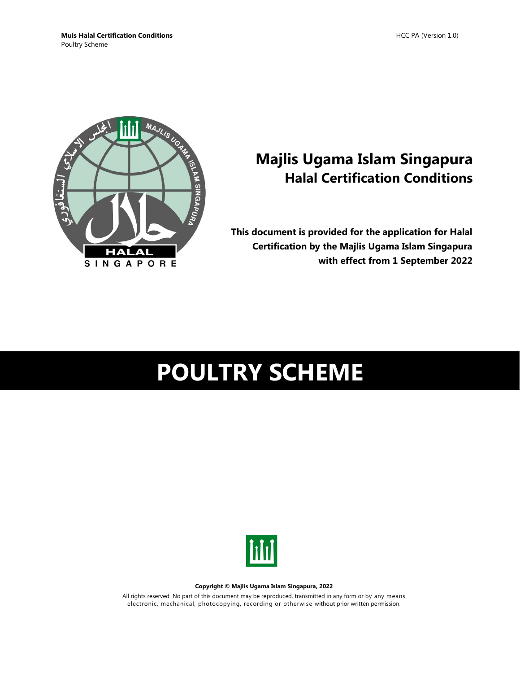

# **Majlis Ugama Islam Singapura Halal Certification Conditions**

**This document is provided for the application for Halal Certification by the Majlis Ugama Islam Singapura with effect from 1 September 2022**

# **POULTRY SCHEME**



#### **Copyright © Majlis Ugama Islam Singapura, 2022**

All rights reserved. No part of this document may be reproduced, transmitted in any form or by any means electronic, mechanical, photocopying, recording or otherwise without prior written permission.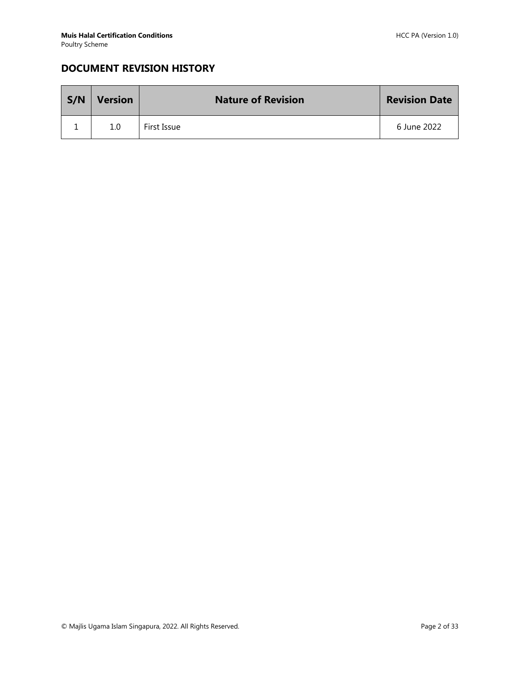# **DOCUMENT REVISION HISTORY**

| S/N | <b>Version</b> | <b>Nature of Revision</b> | <b>Revision Date</b> |
|-----|----------------|---------------------------|----------------------|
|     | 1.0            | First Issue               | 6 June 2022          |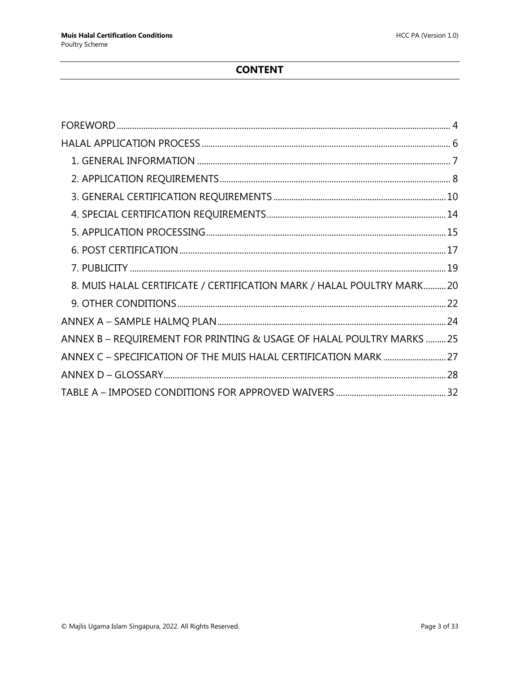# **CONTENT**

| 8. MUIS HALAL CERTIFICATE / CERTIFICATION MARK / HALAL POULTRY MARK20 |  |
|-----------------------------------------------------------------------|--|
|                                                                       |  |
|                                                                       |  |
| ANNEX B - REQUIREMENT FOR PRINTING & USAGE OF HALAL POULTRY MARKS  25 |  |
|                                                                       |  |
|                                                                       |  |
|                                                                       |  |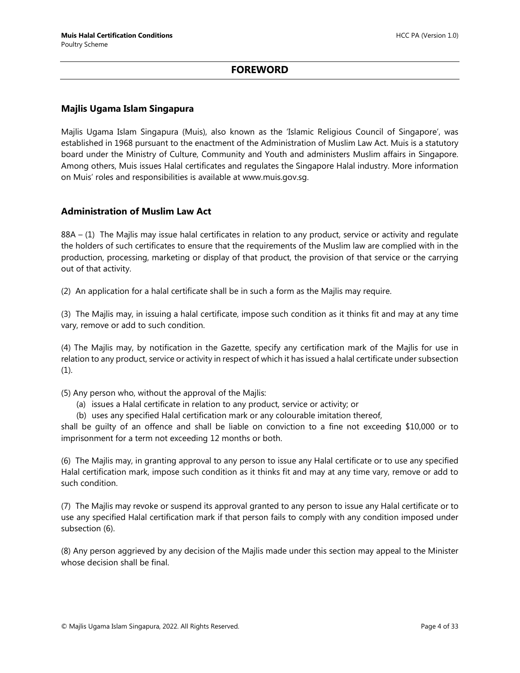## **FOREWORD**

#### <span id="page-3-0"></span>**Majlis Ugama Islam Singapura**

Majlis Ugama Islam Singapura (Muis), also known as the 'Islamic Religious Council of Singapore', was established in 1968 pursuant to the enactment of the Administration of Muslim Law Act. Muis is a statutory board under the Ministry of Culture, Community and Youth and administers Muslim affairs in Singapore. Among others, Muis issues Halal certificates and regulates the Singapore Halal industry. More information on Muis' roles and responsibilities is available at www.muis.gov.sg.

#### **Administration of Muslim Law Act**

88A – (1) The Majlis may issue halal certificates in relation to any product, service or activity and regulate the holders of such certificates to ensure that the requirements of the Muslim law are complied with in the production, processing, marketing or display of that product, the provision of that service or the carrying out of that activity.

(2) An application for a halal certificate shall be in such a form as the Majlis may require.

(3) The Majlis may, in issuing a halal certificate, impose such condition as it thinks fit and may at any time vary, remove or add to such condition.

(4) The Majlis may, by notification in the Gazette, specify any certification mark of the Majlis for use in relation to any product, service or activity in respect of which it has issued a halal certificate under subsection (1).

(5) Any person who, without the approval of the Majlis:

- (a) issues a Halal certificate in relation to any product, service or activity; or
- (b) uses any specified Halal certification mark or any colourable imitation thereof,

shall be guilty of an offence and shall be liable on conviction to a fine not exceeding \$10,000 or to imprisonment for a term not exceeding 12 months or both.

(6) The Majlis may, in granting approval to any person to issue any Halal certificate or to use any specified Halal certification mark, impose such condition as it thinks fit and may at any time vary, remove or add to such condition.

(7) The Majlis may revoke or suspend its approval granted to any person to issue any Halal certificate or to use any specified Halal certification mark if that person fails to comply with any condition imposed under subsection (6).

(8) Any person aggrieved by any decision of the Majlis made under this section may appeal to the Minister whose decision shall be final.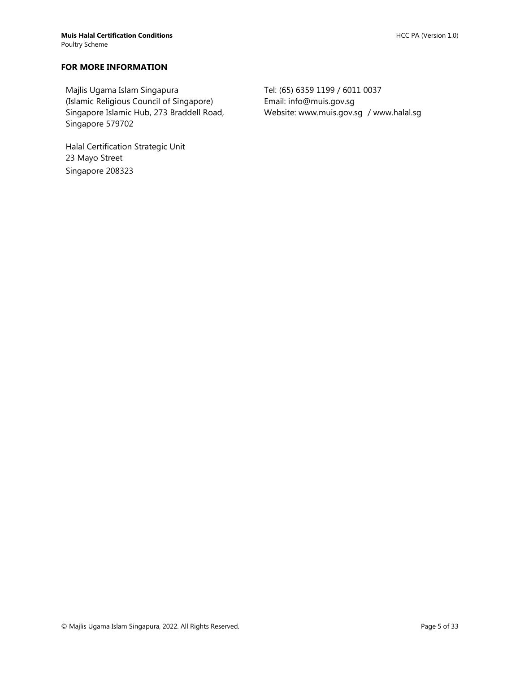#### **FOR MORE INFORMATION**

Majlis Ugama Islam Singapura (Islamic Religious Council of Singapore) Singapore Islamic Hub, 273 Braddell Road, Singapore 579702

Halal Certification Strategic Unit 23 Mayo Street Singapore 208323

Tel: (65) 6359 1199 / 6011 0037 Email: info@muis.gov.sg Website: www.muis.gov.sg / www.halal.sg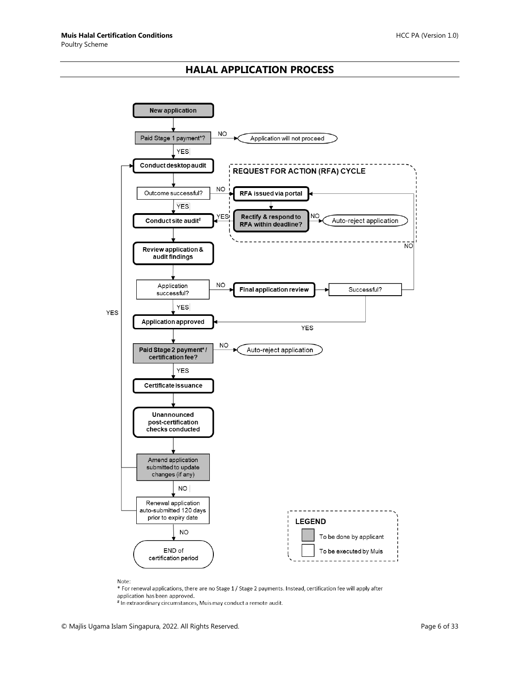## **HALAL APPLICATION PROCESS**

<span id="page-5-0"></span>

Note:

\* For renewal applications, there are no Stage 1 / Stage 2 payments. Instead, certification fee will apply after application has been approved.

# In extraordinary circumstances, Muis may conduct a remote audit.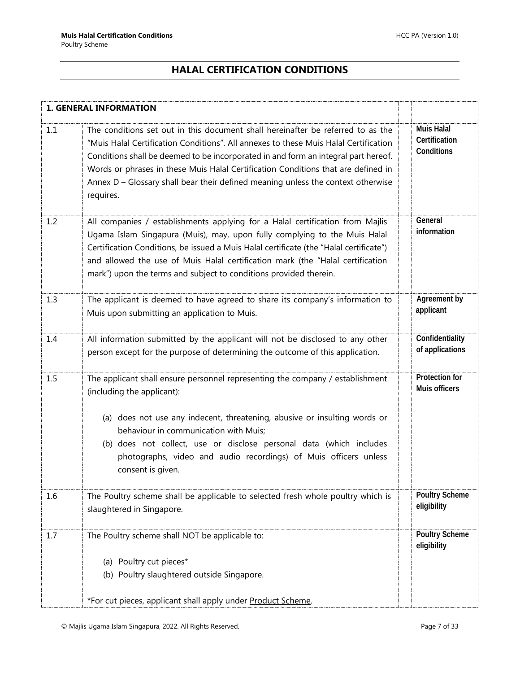# **HALAL CERTIFICATION CONDITIONS**

<span id="page-6-0"></span>

|     | <b>1. GENERAL INFORMATION</b>                                                                                                                                                                                                                                                                                                                                                                                                                       |                                                  |
|-----|-----------------------------------------------------------------------------------------------------------------------------------------------------------------------------------------------------------------------------------------------------------------------------------------------------------------------------------------------------------------------------------------------------------------------------------------------------|--------------------------------------------------|
| 1.1 | The conditions set out in this document shall hereinafter be referred to as the<br>"Muis Halal Certification Conditions". All annexes to these Muis Halal Certification<br>Conditions shall be deemed to be incorporated in and form an integral part hereof.<br>Words or phrases in these Muis Halal Certification Conditions that are defined in<br>Annex D - Glossary shall bear their defined meaning unless the context otherwise<br>requires. | <b>Muis Halal</b><br>Certification<br>Conditions |
| 1.2 | All companies / establishments applying for a Halal certification from Majlis<br>Ugama Islam Singapura (Muis), may, upon fully complying to the Muis Halal<br>Certification Conditions, be issued a Muis Halal certificate (the "Halal certificate")<br>and allowed the use of Muis Halal certification mark (the "Halal certification<br>mark") upon the terms and subject to conditions provided therein.                                         | General<br>information                           |
| 1.3 | The applicant is deemed to have agreed to share its company's information to<br>Muis upon submitting an application to Muis.                                                                                                                                                                                                                                                                                                                        | Agreement by<br>applicant                        |
| 1.4 | All information submitted by the applicant will not be disclosed to any other<br>person except for the purpose of determining the outcome of this application.                                                                                                                                                                                                                                                                                      | Confidentiality<br>of applications               |
| 1.5 | The applicant shall ensure personnel representing the company / establishment<br>(including the applicant):<br>(a) does not use any indecent, threatening, abusive or insulting words or<br>behaviour in communication with Muis;<br>(b) does not collect, use or disclose personal data (which includes<br>photographs, video and audio recordings) of Muis officers unless<br>consent is given.                                                   | Protection for<br>Muis officers                  |
| 1.6 | The Poultry scheme shall be applicable to selected fresh whole poultry which is<br>slaughtered in Singapore.                                                                                                                                                                                                                                                                                                                                        | <b>Poultry Scheme</b><br>eligibility             |
| 1.7 | The Poultry scheme shall NOT be applicable to:<br>(a) Poultry cut pieces*<br>(b) Poultry slaughtered outside Singapore.                                                                                                                                                                                                                                                                                                                             | <b>Poultry Scheme</b><br>eligibility             |
|     | *For cut pieces, applicant shall apply under Product Scheme.                                                                                                                                                                                                                                                                                                                                                                                        |                                                  |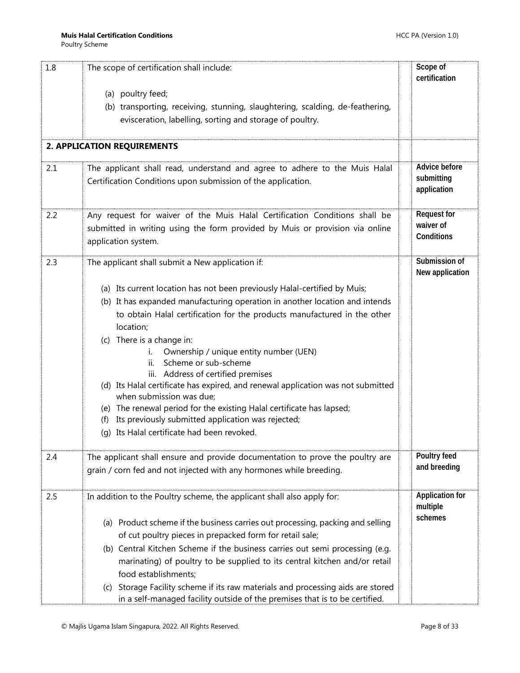<span id="page-7-0"></span>

| 1.8 | The scope of certification shall include:                                                                              | Scope of<br>certification          |
|-----|------------------------------------------------------------------------------------------------------------------------|------------------------------------|
|     | (a) poultry feed;                                                                                                      |                                    |
|     | (b) transporting, receiving, stunning, slaughtering, scalding, de-feathering,                                          |                                    |
|     | evisceration, labelling, sorting and storage of poultry.                                                               |                                    |
|     | 2. APPLICATION REQUIREMENTS                                                                                            |                                    |
| 2.1 | The applicant shall read, understand and agree to adhere to the Muis Halal                                             | Advice before                      |
|     | Certification Conditions upon submission of the application.                                                           | submitting<br>application          |
| 2.2 | Any request for waiver of the Muis Halal Certification Conditions shall be                                             | <b>Request for</b>                 |
|     | submitted in writing using the form provided by Muis or provision via online<br>application system.                    | waiver of<br>Conditions            |
| 2.3 | The applicant shall submit a New application if:                                                                       | Submission of<br>New application   |
|     | (a) Its current location has not been previously Halal-certified by Muis;                                              |                                    |
|     | (b) It has expanded manufacturing operation in another location and intends                                            |                                    |
|     | to obtain Halal certification for the products manufactured in the other                                               |                                    |
|     | location;                                                                                                              |                                    |
|     | (c) There is a change in:                                                                                              |                                    |
|     | Ownership / unique entity number (UEN)                                                                                 |                                    |
|     | Scheme or sub-scheme<br>ii.                                                                                            |                                    |
|     | iii. Address of certified premises<br>(d) Its Halal certificate has expired, and renewal application was not submitted |                                    |
|     | when submission was due;                                                                                               |                                    |
|     | (e) The renewal period for the existing Halal certificate has lapsed;                                                  |                                    |
|     | Its previously submitted application was rejected;<br>(f)                                                              |                                    |
|     | (q) Its Halal certificate had been revoked.                                                                            |                                    |
| 2.4 | The applicant shall ensure and provide documentation to prove the poultry are                                          | Poultry feed                       |
|     | grain / corn fed and not injected with any hormones while breeding.                                                    | and breeding                       |
| 2.5 | In addition to the Poultry scheme, the applicant shall also apply for:                                                 | <b>Application for</b><br>multiple |
|     | (a) Product scheme if the business carries out processing, packing and selling                                         | schemes                            |
|     | of cut poultry pieces in prepacked form for retail sale;                                                               |                                    |
|     | (b) Central Kitchen Scheme if the business carries out semi processing (e.g.                                           |                                    |
|     | marinating) of poultry to be supplied to its central kitchen and/or retail                                             |                                    |
|     | food establishments;                                                                                                   |                                    |
|     | (c) Storage Facility scheme if its raw materials and processing aids are stored                                        |                                    |
|     | in a self-managed facility outside of the premises that is to be certified.                                            |                                    |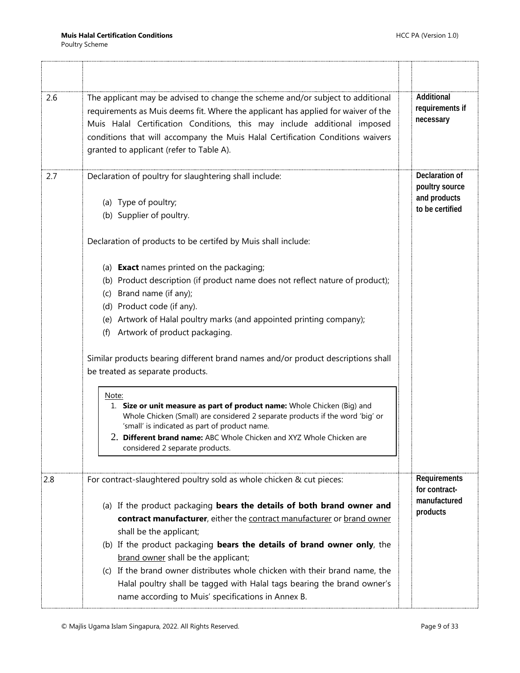| 2.6 | The applicant may be advised to change the scheme and/or subject to additional<br>requirements as Muis deems fit. Where the applicant has applied for waiver of the<br>Muis Halal Certification Conditions, this may include additional imposed<br>conditions that will accompany the Muis Halal Certification Conditions waivers<br>granted to applicant (refer to Table A).                                                                                                                                                                                                                                                                                                                                                                               | Additional<br>requirements if<br>necessary                          |
|-----|-------------------------------------------------------------------------------------------------------------------------------------------------------------------------------------------------------------------------------------------------------------------------------------------------------------------------------------------------------------------------------------------------------------------------------------------------------------------------------------------------------------------------------------------------------------------------------------------------------------------------------------------------------------------------------------------------------------------------------------------------------------|---------------------------------------------------------------------|
| 2.7 | Declaration of poultry for slaughtering shall include:<br>(a) Type of poultry;<br>(b) Supplier of poultry.                                                                                                                                                                                                                                                                                                                                                                                                                                                                                                                                                                                                                                                  | Declaration of<br>poultry source<br>and products<br>to be certified |
|     | Declaration of products to be certifed by Muis shall include:                                                                                                                                                                                                                                                                                                                                                                                                                                                                                                                                                                                                                                                                                               |                                                                     |
|     | (a) Exact names printed on the packaging;<br>(b) Product description (if product name does not reflect nature of product);<br>(c) Brand name (if any);<br>(d) Product code (if any).<br>(e) Artwork of Halal poultry marks (and appointed printing company);<br>(f) Artwork of product packaging.<br>Similar products bearing different brand names and/or product descriptions shall<br>be treated as separate products.<br>Note:<br>1. Size or unit measure as part of product name: Whole Chicken (Big) and<br>Whole Chicken (Small) are considered 2 separate products if the word 'big' or<br>'small' is indicated as part of product name.<br>2. Different brand name: ABC Whole Chicken and XYZ Whole Chicken are<br>considered 2 separate products. |                                                                     |
| 2.8 | For contract-slaughtered poultry sold as whole chicken & cut pieces:<br>(a) If the product packaging bears the details of both brand owner and<br>contract manufacturer, either the contract manufacturer or brand owner<br>shall be the applicant;<br>(b) If the product packaging bears the details of brand owner only, the<br>brand owner shall be the applicant;<br>(c) If the brand owner distributes whole chicken with their brand name, the<br>Halal poultry shall be tagged with Halal tags bearing the brand owner's<br>name according to Muis' specifications in Annex B.                                                                                                                                                                       | Requirements<br>for contract-<br>manufactured<br>products           |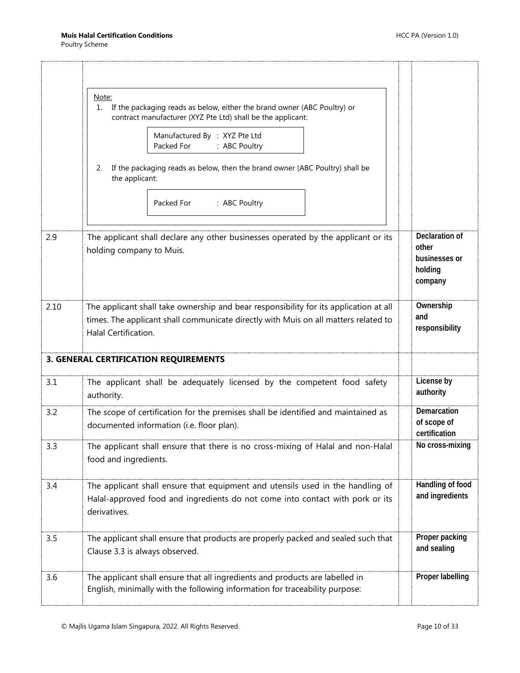<span id="page-9-0"></span>

|      | Note:<br>If the packaging reads as below, either the brand owner (ABC Poultry) or<br>1.<br>contract manufacturer (XYZ Pte Ltd) shall be the applicant:<br>Manufactured By : XYZ Pte Ltd<br>: ABC Poultry<br>Packed For<br>If the packaging reads as below, then the brand owner (ABC Poultry) shall be<br>2.<br>the applicant:<br>Packed For<br>: ABC Poultry |                                                                |
|------|---------------------------------------------------------------------------------------------------------------------------------------------------------------------------------------------------------------------------------------------------------------------------------------------------------------------------------------------------------------|----------------------------------------------------------------|
| 2.9  | The applicant shall declare any other businesses operated by the applicant or its<br>holding company to Muis.                                                                                                                                                                                                                                                 | Declaration of<br>other<br>businesses or<br>holding<br>company |
| 2.10 | The applicant shall take ownership and bear responsibility for its application at all<br>times. The applicant shall communicate directly with Muis on all matters related to<br><b>Halal Certification.</b>                                                                                                                                                   | Ownership<br>and<br>responsibility                             |
|      | 3. GENERAL CERTIFICATION REQUIREMENTS                                                                                                                                                                                                                                                                                                                         |                                                                |
| 3.1  | The applicant shall be adequately licensed by the competent food safety<br>authority.                                                                                                                                                                                                                                                                         | License by<br>authority                                        |
| 3.2  | The scope of certification for the premises shall be identified and maintained as<br>documented information (i.e. floor plan).                                                                                                                                                                                                                                | Demarcation<br>of scope of<br>certification                    |
| 3.3  | The applicant shall ensure that there is no cross-mixing of Halal and non-Halal<br>food and ingredients.                                                                                                                                                                                                                                                      | No cross-mixing                                                |
| 3.4  | The applicant shall ensure that equipment and utensils used in the handling of<br>Halal-approved food and ingredients do not come into contact with pork or its<br>derivatives.                                                                                                                                                                               | Handling of food<br>and ingredients                            |
| 3.5  | The applicant shall ensure that products are properly packed and sealed such that<br>Clause 3.3 is always observed.                                                                                                                                                                                                                                           | Proper packing<br>and sealing                                  |
| 3.6  | The applicant shall ensure that all ingredients and products are labelled in<br>English, minimally with the following information for traceability purpose:                                                                                                                                                                                                   | Proper labelling                                               |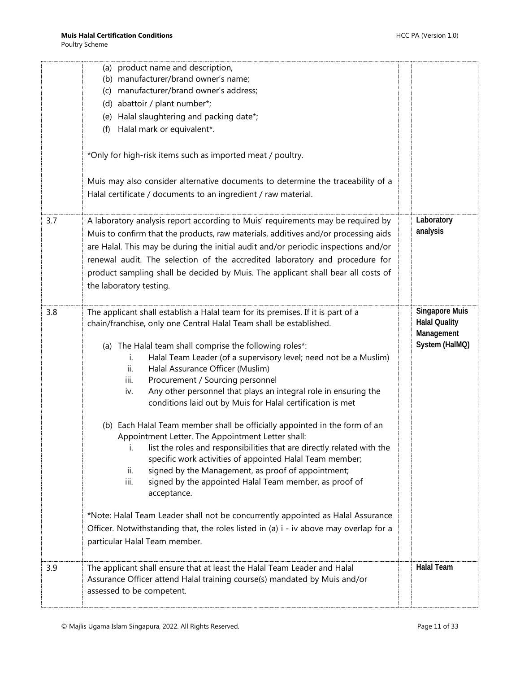|     | (a) product name and description,<br>(b) manufacturer/brand owner's name;<br>(c) manufacturer/brand owner's address;<br>(d) abattoir / plant number*;<br>(e) Halal slaughtering and packing date*;<br>Halal mark or equivalent*.<br>(f)<br>*Only for high-risk items such as imported meat / poultry.<br>Muis may also consider alternative documents to determine the traceability of a<br>Halal certificate / documents to an ingredient / raw material.                                                                                                                                                                                                                                                                                                                                                                                                                                                                                                                                                                                                                                                                                                          |                                                                               |
|-----|---------------------------------------------------------------------------------------------------------------------------------------------------------------------------------------------------------------------------------------------------------------------------------------------------------------------------------------------------------------------------------------------------------------------------------------------------------------------------------------------------------------------------------------------------------------------------------------------------------------------------------------------------------------------------------------------------------------------------------------------------------------------------------------------------------------------------------------------------------------------------------------------------------------------------------------------------------------------------------------------------------------------------------------------------------------------------------------------------------------------------------------------------------------------|-------------------------------------------------------------------------------|
| 3.7 | A laboratory analysis report according to Muis' requirements may be required by<br>Muis to confirm that the products, raw materials, additives and/or processing aids<br>are Halal. This may be during the initial audit and/or periodic inspections and/or<br>renewal audit. The selection of the accredited laboratory and procedure for<br>product sampling shall be decided by Muis. The applicant shall bear all costs of<br>the laboratory testing.                                                                                                                                                                                                                                                                                                                                                                                                                                                                                                                                                                                                                                                                                                           | Laboratory<br>analysis                                                        |
| 3.8 | The applicant shall establish a Halal team for its premises. If it is part of a<br>chain/franchise, only one Central Halal Team shall be established.<br>(a) The Halal team shall comprise the following roles*:<br>Halal Team Leader (of a supervisory level; need not be a Muslim)<br>i.<br>Halal Assurance Officer (Muslim)<br>ii.<br>Procurement / Sourcing personnel<br>iii.<br>Any other personnel that plays an integral role in ensuring the<br>iv.<br>conditions laid out by Muis for Halal certification is met<br>(b) Each Halal Team member shall be officially appointed in the form of an<br>Appointment Letter. The Appointment Letter shall:<br>list the roles and responsibilities that are directly related with the<br>i.<br>specific work activities of appointed Halal Team member;<br>signed by the Management, as proof of appointment;<br>ii.<br>iii.<br>signed by the appointed Halal Team member, as proof of<br>acceptance.<br>*Note: Halal Team Leader shall not be concurrently appointed as Halal Assurance<br>Officer. Notwithstanding that, the roles listed in (a) i - iv above may overlap for a<br>particular Halal Team member. | <b>Singapore Muis</b><br><b>Halal Quality</b><br>Management<br>System (HalMQ) |
| 3.9 | The applicant shall ensure that at least the Halal Team Leader and Halal<br>Assurance Officer attend Halal training course(s) mandated by Muis and/or<br>assessed to be competent.                                                                                                                                                                                                                                                                                                                                                                                                                                                                                                                                                                                                                                                                                                                                                                                                                                                                                                                                                                                  | <b>Halal Team</b>                                                             |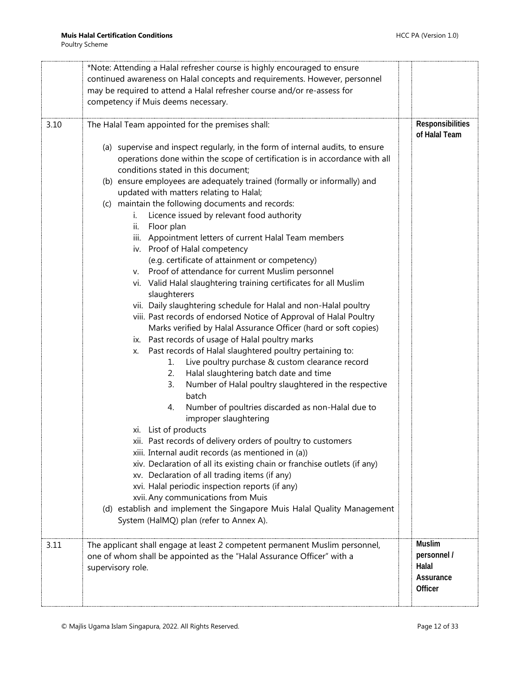|      | *Note: Attending a Halal refresher course is highly encouraged to ensure       |                  |
|------|--------------------------------------------------------------------------------|------------------|
|      | continued awareness on Halal concepts and requirements. However, personnel     |                  |
|      | may be required to attend a Halal refresher course and/or re-assess for        |                  |
|      | competency if Muis deems necessary.                                            |                  |
|      |                                                                                |                  |
| 3.10 | The Halal Team appointed for the premises shall:                               | Responsibilities |
|      |                                                                                | of Halal Team    |
|      | (a) supervise and inspect regularly, in the form of internal audits, to ensure |                  |
|      | operations done within the scope of certification is in accordance with all    |                  |
|      | conditions stated in this document;                                            |                  |
|      | (b) ensure employees are adequately trained (formally or informally) and       |                  |
|      | updated with matters relating to Halal;                                        |                  |
|      | (c) maintain the following documents and records:                              |                  |
|      | Licence issued by relevant food authority<br>i.                                |                  |
|      | Floor plan<br>ii.                                                              |                  |
|      | iii. Appointment letters of current Halal Team members                         |                  |
|      | iv. Proof of Halal competency                                                  |                  |
|      | (e.g. certificate of attainment or competency)                                 |                  |
|      | v. Proof of attendance for current Muslim personnel                            |                  |
|      | vi. Valid Halal slaughtering training certificates for all Muslim              |                  |
|      | slaughterers                                                                   |                  |
|      | vii. Daily slaughtering schedule for Halal and non-Halal poultry               |                  |
|      | viii. Past records of endorsed Notice of Approval of Halal Poultry             |                  |
|      | Marks verified by Halal Assurance Officer (hard or soft copies)                |                  |
|      | ix. Past records of usage of Halal poultry marks                               |                  |
|      | Past records of Halal slaughtered poultry pertaining to:<br>Х.                 |                  |
|      | Live poultry purchase & custom clearance record<br>1.                          |                  |
|      | Halal slaughtering batch date and time<br>2.                                   |                  |
|      | Number of Halal poultry slaughtered in the respective<br>3.                    |                  |
|      | batch                                                                          |                  |
|      | Number of poultries discarded as non-Halal due to<br>4.                        |                  |
|      | improper slaughtering                                                          |                  |
|      | xi. List of products                                                           |                  |
|      | xii. Past records of delivery orders of poultry to customers                   |                  |
|      | xiii. Internal audit records (as mentioned in (a))                             |                  |
|      | xiv. Declaration of all its existing chain or franchise outlets (if any)       |                  |
|      | xv. Declaration of all trading items (if any)                                  |                  |
|      | xvi. Halal periodic inspection reports (if any)                                |                  |
|      | xvii. Any communications from Muis                                             |                  |
|      | (d) establish and implement the Singapore Muis Halal Quality Management        |                  |
|      | System (HalMQ) plan (refer to Annex A).                                        |                  |
|      |                                                                                |                  |
| 3.11 | The applicant shall engage at least 2 competent permanent Muslim personnel,    | <b>Muslim</b>    |
|      | one of whom shall be appointed as the "Halal Assurance Officer" with a         | personnel /      |
|      | supervisory role.                                                              | Halal            |
|      |                                                                                | Assurance        |
|      |                                                                                | Officer          |
|      |                                                                                |                  |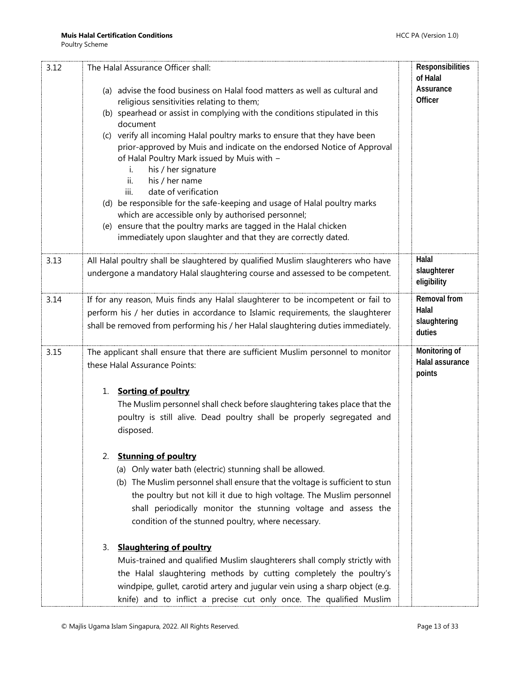| 3.12 | The Halal Assurance Officer shall:                                                                                      | Responsibilities           |
|------|-------------------------------------------------------------------------------------------------------------------------|----------------------------|
|      |                                                                                                                         | of Halal<br>Assurance      |
|      | (a) advise the food business on Halal food matters as well as cultural and<br>religious sensitivities relating to them; | Officer                    |
|      | (b) spearhead or assist in complying with the conditions stipulated in this                                             |                            |
|      | document                                                                                                                |                            |
|      | (c) verify all incoming Halal poultry marks to ensure that they have been                                               |                            |
|      | prior-approved by Muis and indicate on the endorsed Notice of Approval                                                  |                            |
|      | of Halal Poultry Mark issued by Muis with -                                                                             |                            |
|      | his / her signature<br>i.                                                                                               |                            |
|      | ii.<br>his / her name<br>iii.<br>date of verification                                                                   |                            |
|      | (d) be responsible for the safe-keeping and usage of Halal poultry marks                                                |                            |
|      | which are accessible only by authorised personnel;                                                                      |                            |
|      | (e) ensure that the poultry marks are tagged in the Halal chicken                                                       |                            |
|      | immediately upon slaughter and that they are correctly dated.                                                           |                            |
|      |                                                                                                                         |                            |
| 3.13 | All Halal poultry shall be slaughtered by qualified Muslim slaughterers who have                                        | Halal                      |
|      | undergone a mandatory Halal slaughtering course and assessed to be competent.                                           | slaughterer<br>eligibility |
|      |                                                                                                                         |                            |
| 3.14 | If for any reason, Muis finds any Halal slaughterer to be incompetent or fail to                                        | Removal from               |
|      | perform his / her duties in accordance to Islamic requirements, the slaughterer                                         | Halal                      |
|      | shall be removed from performing his / her Halal slaughtering duties immediately.                                       | slaughtering<br>duties     |
|      |                                                                                                                         |                            |
| 3.15 | The applicant shall ensure that there are sufficient Muslim personnel to monitor                                        | Monitoring of              |
|      | these Halal Assurance Points:                                                                                           | Halal assurance<br>points  |
|      | 1. Sorting of poultry                                                                                                   |                            |
|      | The Muslim personnel shall check before slaughtering takes place that the                                               |                            |
|      | poultry is still alive. Dead poultry shall be properly segregated and                                                   |                            |
|      | disposed.                                                                                                               |                            |
|      |                                                                                                                         |                            |
|      | <b>Stunning of poultry</b><br>2.                                                                                        |                            |
|      | (a) Only water bath (electric) stunning shall be allowed.                                                               |                            |
|      | (b) The Muslim personnel shall ensure that the voltage is sufficient to stun                                            |                            |
|      | the poultry but not kill it due to high voltage. The Muslim personnel                                                   |                            |
|      | shall periodically monitor the stunning voltage and assess the                                                          |                            |
|      | condition of the stunned poultry, where necessary.                                                                      |                            |
|      |                                                                                                                         |                            |
|      | <b>Slaughtering of poultry</b><br>3.                                                                                    |                            |
|      | Muis-trained and qualified Muslim slaughterers shall comply strictly with                                               |                            |
|      | the Halal slaughtering methods by cutting completely the poultry's                                                      |                            |
|      | windpipe, gullet, carotid artery and jugular vein using a sharp object (e.g.                                            |                            |
|      | knife) and to inflict a precise cut only once. The qualified Muslim                                                     |                            |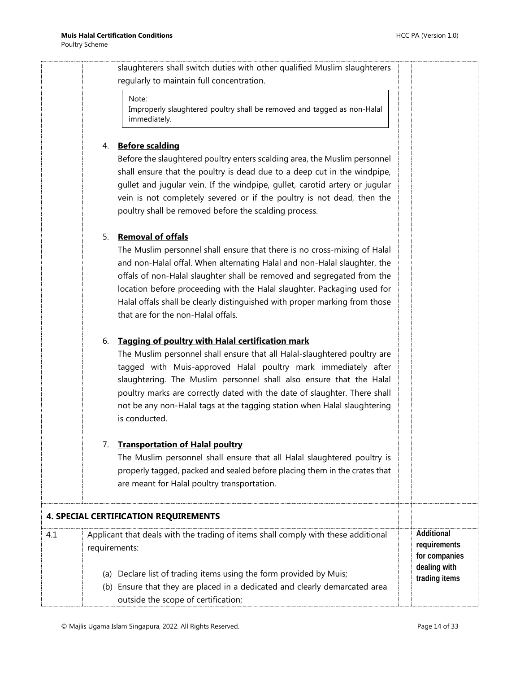slaughterers shall switch duties with other qualified Muslim slaughterers regularly to maintain full concentration.

#### Note:

Improperly slaughtered poultry shall be removed and tagged as non-Halal immediately.

#### 4. **Before scalding**

Before the slaughtered poultry enters scalding area, the Muslim personnel shall ensure that the poultry is dead due to a deep cut in the windpipe, gullet and jugular vein. If the windpipe, gullet, carotid artery or jugular vein is not completely severed or if the poultry is not dead, then the poultry shall be removed before the scalding process.

#### 5. **Removal of offals**

The Muslim personnel shall ensure that there is no cross-mixing of Halal and non-Halal offal. When alternating Halal and non-Halal slaughter, the offals of non-Halal slaughter shall be removed and segregated from the location before proceeding with the Halal slaughter. Packaging used for Halal offals shall be clearly distinguished with proper marking from those that are for the non-Halal offals.

#### 6. **Tagging of poultry with Halal certification mark**

The Muslim personnel shall ensure that all Halal-slaughtered poultry are tagged with Muis-approved Halal poultry mark immediately after slaughtering. The Muslim personnel shall also ensure that the Halal poultry marks are correctly dated with the date of slaughter. There shall not be any non-Halal tags at the tagging station when Halal slaughtering is conducted.

#### 7. **Transportation of Halal poultry**

The Muslim personnel shall ensure that all Halal slaughtered poultry is properly tagged, packed and sealed before placing them in the crates that are meant for Halal poultry transportation.

<span id="page-13-0"></span>

| <b>4. SPECIAL CERTIFICATION REQUIREMENTS</b> |                                                                                                                                                                                         |  |                                             |
|----------------------------------------------|-----------------------------------------------------------------------------------------------------------------------------------------------------------------------------------------|--|---------------------------------------------|
| 4.1                                          | Applicant that deals with the trading of items shall comply with these additional<br>requirements:                                                                                      |  | Additional<br>requirements<br>for companies |
|                                              | (a) Declare list of trading items using the form provided by Muis;<br>(b) Ensure that they are placed in a dedicated and clearly demarcated area<br>outside the scope of certification; |  | dealing with<br>trading items               |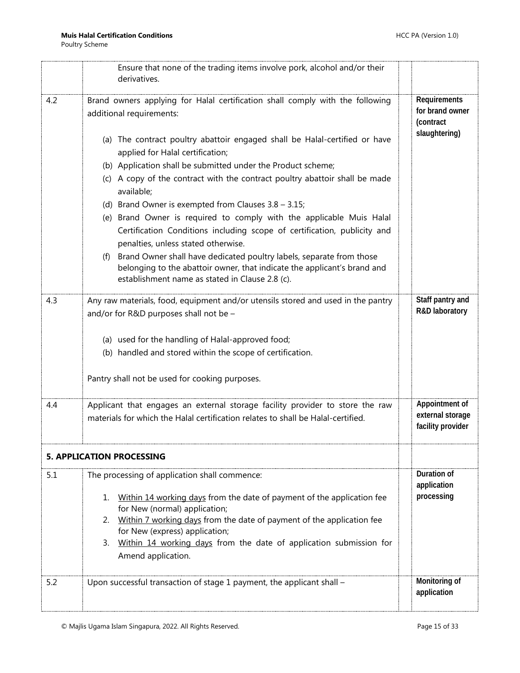<span id="page-14-0"></span>

|     | Ensure that none of the trading items involve pork, alcohol and/or their<br>derivatives.                                                                                                                                                                                                                                                                                                                                                                                                                                                                                                                                                                                                                                                                                                                                                                  |                                                               |
|-----|-----------------------------------------------------------------------------------------------------------------------------------------------------------------------------------------------------------------------------------------------------------------------------------------------------------------------------------------------------------------------------------------------------------------------------------------------------------------------------------------------------------------------------------------------------------------------------------------------------------------------------------------------------------------------------------------------------------------------------------------------------------------------------------------------------------------------------------------------------------|---------------------------------------------------------------|
| 4.2 | Brand owners applying for Halal certification shall comply with the following<br>additional requirements:<br>(a) The contract poultry abattoir engaged shall be Halal-certified or have<br>applied for Halal certification;<br>(b) Application shall be submitted under the Product scheme;<br>(c) A copy of the contract with the contract poultry abattoir shall be made<br>available;<br>(d) Brand Owner is exempted from Clauses $3.8 - 3.15$ ;<br>(e) Brand Owner is required to comply with the applicable Muis Halal<br>Certification Conditions including scope of certification, publicity and<br>penalties, unless stated otherwise.<br>(f) Brand Owner shall have dedicated poultry labels, separate from those<br>belonging to the abattoir owner, that indicate the applicant's brand and<br>establishment name as stated in Clause 2.8 (c). | Requirements<br>for brand owner<br>(contract<br>slaughtering) |
| 4.3 | Any raw materials, food, equipment and/or utensils stored and used in the pantry<br>and/or for R&D purposes shall not be -<br>(a) used for the handling of Halal-approved food;<br>(b) handled and stored within the scope of certification.<br>Pantry shall not be used for cooking purposes.                                                                                                                                                                                                                                                                                                                                                                                                                                                                                                                                                            | Staff pantry and<br>R&D laboratory                            |
| 4.4 | Applicant that engages an external storage facility provider to store the raw<br>materials for which the Halal certification relates to shall be Halal-certified.                                                                                                                                                                                                                                                                                                                                                                                                                                                                                                                                                                                                                                                                                         | Appointment of<br>external storage<br>facility provider       |
|     | <b>5. APPLICATION PROCESSING</b>                                                                                                                                                                                                                                                                                                                                                                                                                                                                                                                                                                                                                                                                                                                                                                                                                          |                                                               |
| 5.1 | The processing of application shall commence:<br>Within 14 working days from the date of payment of the application fee<br>1.<br>for New (normal) application;<br>2. Within 7 working days from the date of payment of the application fee<br>for New (express) application;<br>3. Within 14 working days from the date of application submission for<br>Amend application.                                                                                                                                                                                                                                                                                                                                                                                                                                                                               | Duration of<br>application<br>processing                      |
| 5.2 | Upon successful transaction of stage 1 payment, the applicant shall -                                                                                                                                                                                                                                                                                                                                                                                                                                                                                                                                                                                                                                                                                                                                                                                     | Monitoring of<br>application                                  |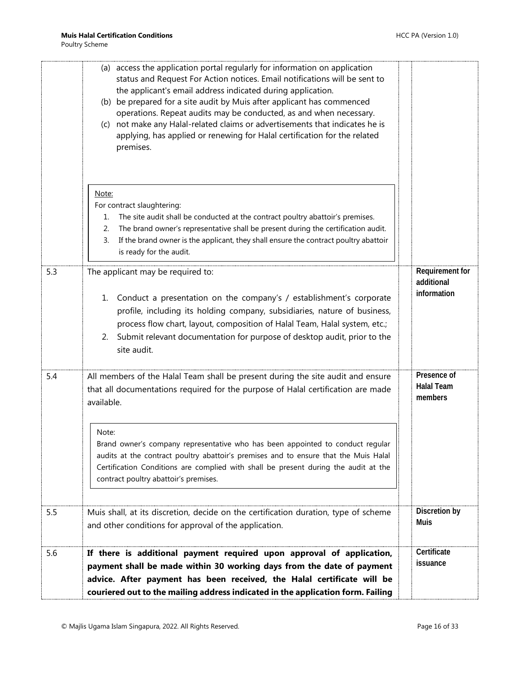| 5.6        | If there is additional payment required upon approval of application,<br>payment shall be made within 30 working days from the date of payment<br>advice. After payment has been received, the Halal certificate will be<br>couriered out to the mailing address indicated in the application form. Failing                                                                                                                                                                                                                                                                                                                                                               | Certificate<br>issuance                                     |
|------------|---------------------------------------------------------------------------------------------------------------------------------------------------------------------------------------------------------------------------------------------------------------------------------------------------------------------------------------------------------------------------------------------------------------------------------------------------------------------------------------------------------------------------------------------------------------------------------------------------------------------------------------------------------------------------|-------------------------------------------------------------|
| 5.5        | Muis shall, at its discretion, decide on the certification duration, type of scheme<br>and other conditions for approval of the application.                                                                                                                                                                                                                                                                                                                                                                                                                                                                                                                              | Discretion by<br>Muis                                       |
|            | that all documentations required for the purpose of Halal certification are made<br>available.<br>Note:<br>Brand owner's company representative who has been appointed to conduct regular<br>audits at the contract poultry abattoir's premises and to ensure that the Muis Halal<br>Certification Conditions are complied with shall be present during the audit at the<br>contract poultry abattoir's premises.                                                                                                                                                                                                                                                         | <b>Halal Team</b><br>members                                |
| 5.3<br>5.4 | The applicant may be required to:<br>1. Conduct a presentation on the company's / establishment's corporate<br>profile, including its holding company, subsidiaries, nature of business,<br>process flow chart, layout, composition of Halal Team, Halal system, etc.;<br>2. Submit relevant documentation for purpose of desktop audit, prior to the<br>site audit.<br>All members of the Halal Team shall be present during the site audit and ensure                                                                                                                                                                                                                   | Requirement for<br>additional<br>information<br>Presence of |
|            | (b) be prepared for a site audit by Muis after applicant has commenced<br>operations. Repeat audits may be conducted, as and when necessary.<br>(c) not make any Halal-related claims or advertisements that indicates he is<br>applying, has applied or renewing for Halal certification for the related<br>premises.<br>Note:<br>For contract slaughtering:<br>The site audit shall be conducted at the contract poultry abattoir's premises.<br>1.<br>The brand owner's representative shall be present during the certification audit.<br>2.<br>If the brand owner is the applicant, they shall ensure the contract poultry abattoir<br>3.<br>is ready for the audit. |                                                             |
|            | (a) access the application portal regularly for information on application<br>status and Request For Action notices. Email notifications will be sent to<br>the applicant's email address indicated during application.                                                                                                                                                                                                                                                                                                                                                                                                                                                   |                                                             |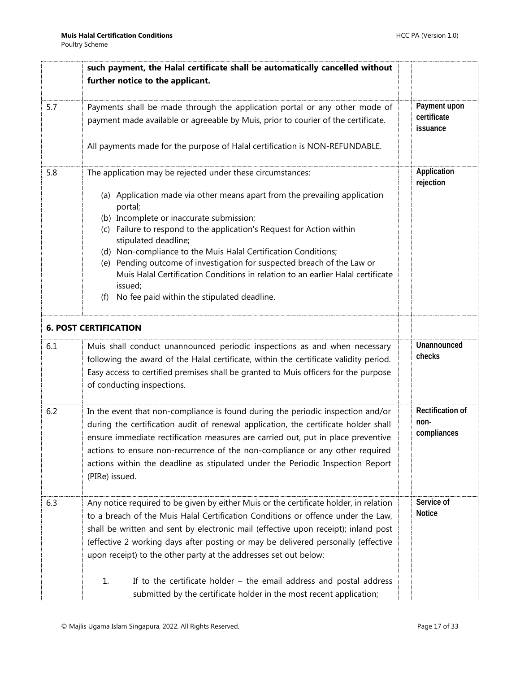<span id="page-16-0"></span>

|     | such payment, the Halal certificate shall be automatically cancelled without                                                                                                                                                                                                                                                                                                                                                                   |                                                |
|-----|------------------------------------------------------------------------------------------------------------------------------------------------------------------------------------------------------------------------------------------------------------------------------------------------------------------------------------------------------------------------------------------------------------------------------------------------|------------------------------------------------|
|     | further notice to the applicant.                                                                                                                                                                                                                                                                                                                                                                                                               |                                                |
| 5.7 | Payments shall be made through the application portal or any other mode of                                                                                                                                                                                                                                                                                                                                                                     | Payment upon                                   |
|     | payment made available or agreeable by Muis, prior to courier of the certificate.                                                                                                                                                                                                                                                                                                                                                              | certificate<br>issuance                        |
|     | All payments made for the purpose of Halal certification is NON-REFUNDABLE.                                                                                                                                                                                                                                                                                                                                                                    |                                                |
| 5.8 | The application may be rejected under these circumstances:                                                                                                                                                                                                                                                                                                                                                                                     | Application<br>rejection                       |
|     | (a) Application made via other means apart from the prevailing application<br>portal;<br>(b) Incomplete or inaccurate submission;                                                                                                                                                                                                                                                                                                              |                                                |
|     | (c) Failure to respond to the application's Request for Action within<br>stipulated deadline;<br>(d) Non-compliance to the Muis Halal Certification Conditions;                                                                                                                                                                                                                                                                                |                                                |
|     | (e) Pending outcome of investigation for suspected breach of the Law or<br>Muis Halal Certification Conditions in relation to an earlier Halal certificate<br>issued;                                                                                                                                                                                                                                                                          |                                                |
|     | No fee paid within the stipulated deadline.<br>(f)                                                                                                                                                                                                                                                                                                                                                                                             |                                                |
|     | <b>6. POST CERTIFICATION</b>                                                                                                                                                                                                                                                                                                                                                                                                                   |                                                |
| 6.1 | Muis shall conduct unannounced periodic inspections as and when necessary<br>following the award of the Halal certificate, within the certificate validity period.<br>Easy access to certified premises shall be granted to Muis officers for the purpose<br>of conducting inspections.                                                                                                                                                        | Unannounced<br>checks                          |
| 6.2 | In the event that non-compliance is found during the periodic inspection and/or<br>during the certification audit of renewal application, the certificate holder shall<br>ensure immediate rectification measures are carried out, put in place preventive<br>actions to ensure non-recurrence of the non-compliance or any other required<br>actions within the deadline as stipulated under the Periodic Inspection Report<br>(PIRe) issued. | <b>Rectification of</b><br>non-<br>compliances |
| 6.3 | Any notice required to be given by either Muis or the certificate holder, in relation<br>to a breach of the Muis Halal Certification Conditions or offence under the Law,<br>shall be written and sent by electronic mail (effective upon receipt); inland post<br>(effective 2 working days after posting or may be delivered personally (effective<br>upon receipt) to the other party at the addresses set out below:                       | Service of<br><b>Notice</b>                    |
|     | 1.<br>If to the certificate holder $-$ the email address and postal address<br>submitted by the certificate holder in the most recent application;                                                                                                                                                                                                                                                                                             |                                                |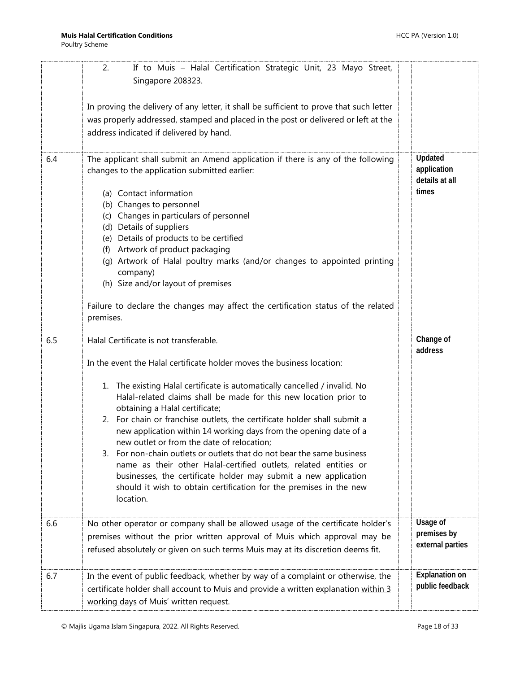|     | If to Muis - Halal Certification Strategic Unit, 23 Mayo Street,<br>2.<br>Singapore 208323.                                                                                                                                                                                                                                                                                                                                                                                                                                                                                                                                                                                                                                                                                                              |                                                   |
|-----|----------------------------------------------------------------------------------------------------------------------------------------------------------------------------------------------------------------------------------------------------------------------------------------------------------------------------------------------------------------------------------------------------------------------------------------------------------------------------------------------------------------------------------------------------------------------------------------------------------------------------------------------------------------------------------------------------------------------------------------------------------------------------------------------------------|---------------------------------------------------|
|     | In proving the delivery of any letter, it shall be sufficient to prove that such letter<br>was properly addressed, stamped and placed in the post or delivered or left at the<br>address indicated if delivered by hand.                                                                                                                                                                                                                                                                                                                                                                                                                                                                                                                                                                                 |                                                   |
| 6.4 | The applicant shall submit an Amend application if there is any of the following<br>changes to the application submitted earlier:<br>(a) Contact information<br>(b) Changes to personnel<br>(c) Changes in particulars of personnel<br>(d) Details of suppliers<br>(e) Details of products to be certified<br>(f) Artwork of product packaging<br>(g) Artwork of Halal poultry marks (and/or changes to appointed printing<br>company)<br>(h) Size and/or layout of premises<br>Failure to declare the changes may affect the certification status of the related<br>premises.                                                                                                                                                                                                                           | Updated<br>application<br>details at all<br>times |
| 6.5 | Halal Certificate is not transferable.<br>In the event the Halal certificate holder moves the business location:<br>1. The existing Halal certificate is automatically cancelled / invalid. No<br>Halal-related claims shall be made for this new location prior to<br>obtaining a Halal certificate;<br>2. For chain or franchise outlets, the certificate holder shall submit a<br>new application within 14 working days from the opening date of a<br>new outlet or from the date of relocation;<br>3. For non-chain outlets or outlets that do not bear the same business<br>name as their other Halal-certified outlets, related entities or<br>businesses, the certificate holder may submit a new application<br>should it wish to obtain certification for the premises in the new<br>location. | Change of<br>address                              |
| 6.6 | No other operator or company shall be allowed usage of the certificate holder's<br>premises without the prior written approval of Muis which approval may be                                                                                                                                                                                                                                                                                                                                                                                                                                                                                                                                                                                                                                             | Usage of<br>premises by<br>external parties       |
|     | refused absolutely or given on such terms Muis may at its discretion deems fit.                                                                                                                                                                                                                                                                                                                                                                                                                                                                                                                                                                                                                                                                                                                          |                                                   |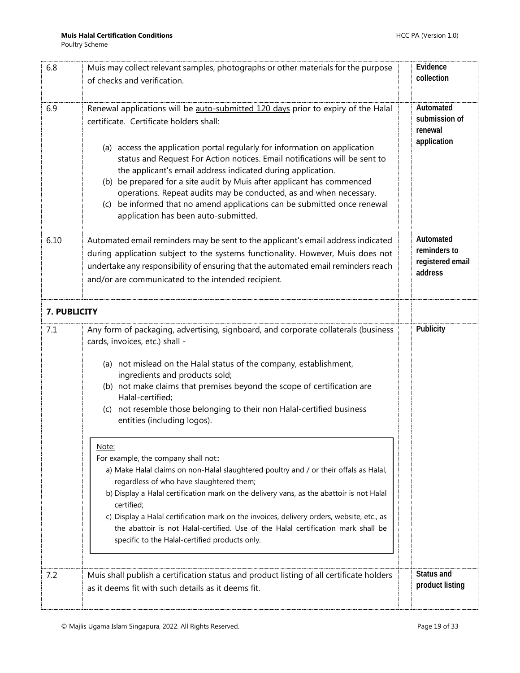<span id="page-18-0"></span>

| 6.8          | Muis may collect relevant samples, photographs or other materials for the purpose                                                                                                                                                                                                                                                                                                                                                                                                                                                | Evidence<br>collection                                   |
|--------------|----------------------------------------------------------------------------------------------------------------------------------------------------------------------------------------------------------------------------------------------------------------------------------------------------------------------------------------------------------------------------------------------------------------------------------------------------------------------------------------------------------------------------------|----------------------------------------------------------|
|              | of checks and verification.                                                                                                                                                                                                                                                                                                                                                                                                                                                                                                      |                                                          |
| 6.9          | Renewal applications will be auto-submitted 120 days prior to expiry of the Halal<br>certificate. Certificate holders shall:                                                                                                                                                                                                                                                                                                                                                                                                     | Automated<br>submission of<br>renewal                    |
|              | (a) access the application portal regularly for information on application<br>status and Request For Action notices. Email notifications will be sent to<br>the applicant's email address indicated during application.<br>(b) be prepared for a site audit by Muis after applicant has commenced<br>operations. Repeat audits may be conducted, as and when necessary.<br>(c) be informed that no amend applications can be submitted once renewal<br>application has been auto-submitted.                                      | application                                              |
| 6.10         | Automated email reminders may be sent to the applicant's email address indicated<br>during application subject to the systems functionality. However, Muis does not<br>undertake any responsibility of ensuring that the automated email reminders reach<br>and/or are communicated to the intended recipient.                                                                                                                                                                                                                   | Automated<br>reminders to<br>registered email<br>address |
| 7. PUBLICITY |                                                                                                                                                                                                                                                                                                                                                                                                                                                                                                                                  |                                                          |
| 7.1          | Any form of packaging, advertising, signboard, and corporate collaterals (business<br>cards, invoices, etc.) shall -                                                                                                                                                                                                                                                                                                                                                                                                             | Publicity                                                |
|              | (a) not mislead on the Halal status of the company, establishment,<br>ingredients and products sold;<br>(b) not make claims that premises beyond the scope of certification are                                                                                                                                                                                                                                                                                                                                                  |                                                          |
|              | Halal-certified;<br>(c) not resemble those belonging to their non Halal-certified business<br>entities (including logos).                                                                                                                                                                                                                                                                                                                                                                                                        |                                                          |
|              | Note:<br>For example, the company shall not::<br>a) Make Halal claims on non-Halal slaughtered poultry and / or their offals as Halal,<br>regardless of who have slaughtered them;<br>b) Display a Halal certification mark on the delivery vans, as the abattoir is not Halal<br>certified;<br>c) Display a Halal certification mark on the invoices, delivery orders, website, etc., as<br>the abattoir is not Halal-certified. Use of the Halal certification mark shall be<br>specific to the Halal-certified products only. |                                                          |
| 7.2          | Muis shall publish a certification status and product listing of all certificate holders<br>as it deems fit with such details as it deems fit.                                                                                                                                                                                                                                                                                                                                                                                   | Status and<br>product listing                            |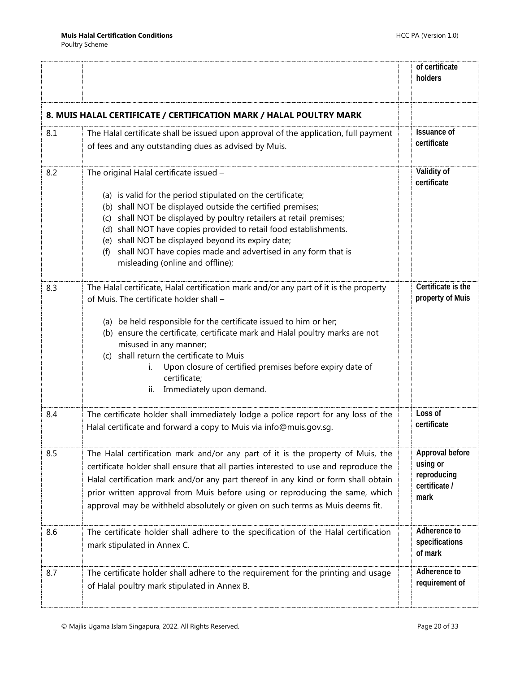<span id="page-19-0"></span>

|     |                                                                                                                                                                                                                                                                                                                                                                                                                                                                                   | of certificate<br>holders                                           |
|-----|-----------------------------------------------------------------------------------------------------------------------------------------------------------------------------------------------------------------------------------------------------------------------------------------------------------------------------------------------------------------------------------------------------------------------------------------------------------------------------------|---------------------------------------------------------------------|
|     | 8. MUIS HALAL CERTIFICATE / CERTIFICATION MARK / HALAL POULTRY MARK                                                                                                                                                                                                                                                                                                                                                                                                               |                                                                     |
| 8.1 | The Halal certificate shall be issued upon approval of the application, full payment<br>of fees and any outstanding dues as advised by Muis.                                                                                                                                                                                                                                                                                                                                      | <b>Issuance of</b><br>certificate                                   |
| 8.2 | The original Halal certificate issued -<br>(a) is valid for the period stipulated on the certificate;<br>(b) shall NOT be displayed outside the certified premises;<br>(c) shall NOT be displayed by poultry retailers at retail premises;<br>(d) shall NOT have copies provided to retail food establishments.<br>(e) shall NOT be displayed beyond its expiry date;<br>shall NOT have copies made and advertised in any form that is<br>(f)<br>misleading (online and offline); | Validity of<br>certificate                                          |
| 8.3 | The Halal certificate, Halal certification mark and/or any part of it is the property<br>of Muis. The certificate holder shall -<br>(a) be held responsible for the certificate issued to him or her;<br>(b) ensure the certificate, certificate mark and Halal poultry marks are not<br>misused in any manner;<br>(c) shall return the certificate to Muis<br>Upon closure of certified premises before expiry date of<br>i.<br>certificate;<br>Immediately upon demand.<br>ii.  | Certificate is the<br>property of Muis                              |
| 8.4 | The certificate holder shall immediately lodge a police report for any loss of the<br>Halal certificate and forward a copy to Muis via info@muis.gov.sg.                                                                                                                                                                                                                                                                                                                          | Loss of<br>certificate                                              |
| 8.5 | The Halal certification mark and/or any part of it is the property of Muis, the<br>certificate holder shall ensure that all parties interested to use and reproduce the<br>Halal certification mark and/or any part thereof in any kind or form shall obtain<br>prior written approval from Muis before using or reproducing the same, which<br>approval may be withheld absolutely or given on such terms as Muis deems fit.                                                     | Approval before<br>using or<br>reproducing<br>certificate /<br>mark |
| 8.6 | The certificate holder shall adhere to the specification of the Halal certification<br>mark stipulated in Annex C.                                                                                                                                                                                                                                                                                                                                                                | Adherence to<br>specifications<br>of mark                           |
| 8.7 | The certificate holder shall adhere to the requirement for the printing and usage<br>of Halal poultry mark stipulated in Annex B.                                                                                                                                                                                                                                                                                                                                                 | Adherence to<br>requirement of                                      |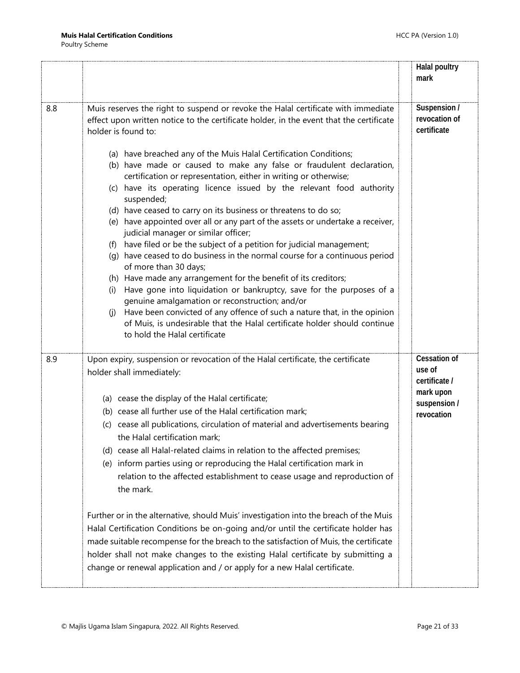|     |                                                                                                                                                                                                                                                                                                                                                                                                                                                                                                                                                                                                                                                                                                                                                                                                                                                                                                                                                                                                                                                                                                                                                                                                                                                                                                    | <b>Halal poultry</b><br>mark                                                              |
|-----|----------------------------------------------------------------------------------------------------------------------------------------------------------------------------------------------------------------------------------------------------------------------------------------------------------------------------------------------------------------------------------------------------------------------------------------------------------------------------------------------------------------------------------------------------------------------------------------------------------------------------------------------------------------------------------------------------------------------------------------------------------------------------------------------------------------------------------------------------------------------------------------------------------------------------------------------------------------------------------------------------------------------------------------------------------------------------------------------------------------------------------------------------------------------------------------------------------------------------------------------------------------------------------------------------|-------------------------------------------------------------------------------------------|
| 8.8 | Muis reserves the right to suspend or revoke the Halal certificate with immediate<br>effect upon written notice to the certificate holder, in the event that the certificate<br>holder is found to:<br>(a) have breached any of the Muis Halal Certification Conditions;<br>(b) have made or caused to make any false or fraudulent declaration,<br>certification or representation, either in writing or otherwise;<br>have its operating licence issued by the relevant food authority<br>(c)<br>suspended;<br>(d) have ceased to carry on its business or threatens to do so;<br>(e) have appointed over all or any part of the assets or undertake a receiver,<br>judicial manager or similar officer;<br>(f) have filed or be the subject of a petition for judicial management;<br>(g) have ceased to do business in the normal course for a continuous period<br>of more than 30 days;<br>(h) Have made any arrangement for the benefit of its creditors;<br>Have gone into liquidation or bankruptcy, save for the purposes of a<br>(i)<br>genuine amalgamation or reconstruction; and/or<br>Have been convicted of any offence of such a nature that, in the opinion<br>(i)<br>of Muis, is undesirable that the Halal certificate holder should continue<br>to hold the Halal certificate | Suspension /<br>revocation of<br>certificate                                              |
| 8.9 | Upon expiry, suspension or revocation of the Halal certificate, the certificate<br>holder shall immediately:<br>(a) cease the display of the Halal certificate;<br>(b) cease all further use of the Halal certification mark;<br>(c) cease all publications, circulation of material and advertisements bearing<br>the Halal certification mark;<br>(d) cease all Halal-related claims in relation to the affected premises;<br>(e) inform parties using or reproducing the Halal certification mark in<br>relation to the affected establishment to cease usage and reproduction of<br>the mark.<br>Further or in the alternative, should Muis' investigation into the breach of the Muis<br>Halal Certification Conditions be on-going and/or until the certificate holder has<br>made suitable recompense for the breach to the satisfaction of Muis, the certificate<br>holder shall not make changes to the existing Halal certificate by submitting a<br>change or renewal application and / or apply for a new Halal certificate.                                                                                                                                                                                                                                                           | <b>Cessation of</b><br>use of<br>certificate /<br>mark upon<br>suspension /<br>revocation |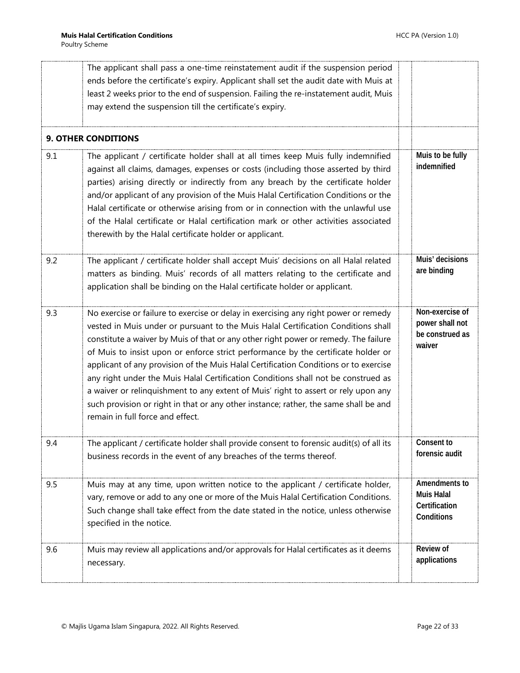<span id="page-21-0"></span>

|     | The applicant shall pass a one-time reinstatement audit if the suspension period<br>ends before the certificate's expiry. Applicant shall set the audit date with Muis at<br>least 2 weeks prior to the end of suspension. Failing the re-instatement audit, Muis<br>may extend the suspension till the certificate's expiry.                                                                                                                                                                                                                                                                                                                                                                                                                       |                                                                   |
|-----|-----------------------------------------------------------------------------------------------------------------------------------------------------------------------------------------------------------------------------------------------------------------------------------------------------------------------------------------------------------------------------------------------------------------------------------------------------------------------------------------------------------------------------------------------------------------------------------------------------------------------------------------------------------------------------------------------------------------------------------------------------|-------------------------------------------------------------------|
|     | <b>9. OTHER CONDITIONS</b>                                                                                                                                                                                                                                                                                                                                                                                                                                                                                                                                                                                                                                                                                                                          |                                                                   |
| 9.1 | The applicant / certificate holder shall at all times keep Muis fully indemnified<br>against all claims, damages, expenses or costs (including those asserted by third<br>parties) arising directly or indirectly from any breach by the certificate holder<br>and/or applicant of any provision of the Muis Halal Certification Conditions or the<br>Halal certificate or otherwise arising from or in connection with the unlawful use<br>of the Halal certificate or Halal certification mark or other activities associated<br>therewith by the Halal certificate holder or applicant.                                                                                                                                                          | Muis to be fully<br>indemnified                                   |
| 9.2 | The applicant / certificate holder shall accept Muis' decisions on all Halal related<br>matters as binding. Muis' records of all matters relating to the certificate and<br>application shall be binding on the Halal certificate holder or applicant.                                                                                                                                                                                                                                                                                                                                                                                                                                                                                              | Muis' decisions<br>are binding                                    |
| 9.3 | No exercise or failure to exercise or delay in exercising any right power or remedy<br>vested in Muis under or pursuant to the Muis Halal Certification Conditions shall<br>constitute a waiver by Muis of that or any other right power or remedy. The failure<br>of Muis to insist upon or enforce strict performance by the certificate holder or<br>applicant of any provision of the Muis Halal Certification Conditions or to exercise<br>any right under the Muis Halal Certification Conditions shall not be construed as<br>a waiver or relinquishment to any extent of Muis' right to assert or rely upon any<br>such provision or right in that or any other instance; rather, the same shall be and<br>remain in full force and effect. | Non-exercise of<br>power shall not<br>be construed as<br>waiver   |
| 9.4 | The applicant / certificate holder shall provide consent to forensic audit(s) of all its<br>business records in the event of any breaches of the terms thereof.                                                                                                                                                                                                                                                                                                                                                                                                                                                                                                                                                                                     | Consent to<br>forensic audit                                      |
| 9.5 | Muis may at any time, upon written notice to the applicant / certificate holder,<br>vary, remove or add to any one or more of the Muis Halal Certification Conditions.<br>Such change shall take effect from the date stated in the notice, unless otherwise<br>specified in the notice.                                                                                                                                                                                                                                                                                                                                                                                                                                                            | Amendments to<br><b>Muis Halal</b><br>Certification<br>Conditions |
| 9.6 | Muis may review all applications and/or approvals for Halal certificates as it deems<br>necessary.                                                                                                                                                                                                                                                                                                                                                                                                                                                                                                                                                                                                                                                  | Review of<br>applications                                         |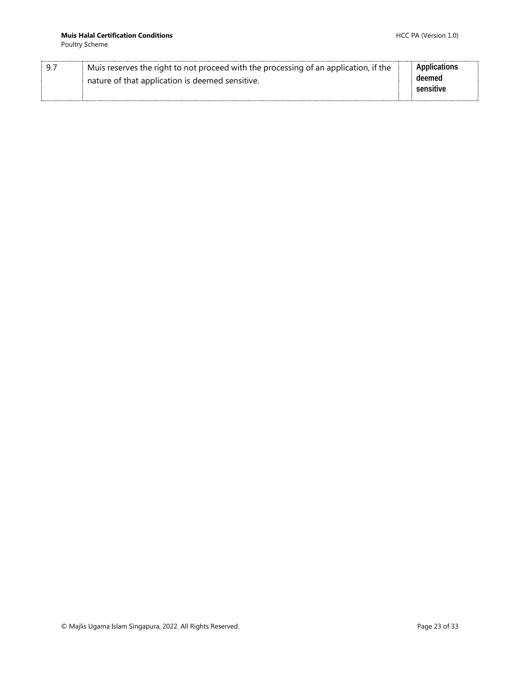Poultry Scheme

| Muis reserves the right to not proceed with the processing of an application, if the | Applications |
|--------------------------------------------------------------------------------------|--------------|
| nature of that application is deemed sensitive.                                      | deemed       |
|                                                                                      | sensitive    |
|                                                                                      |              |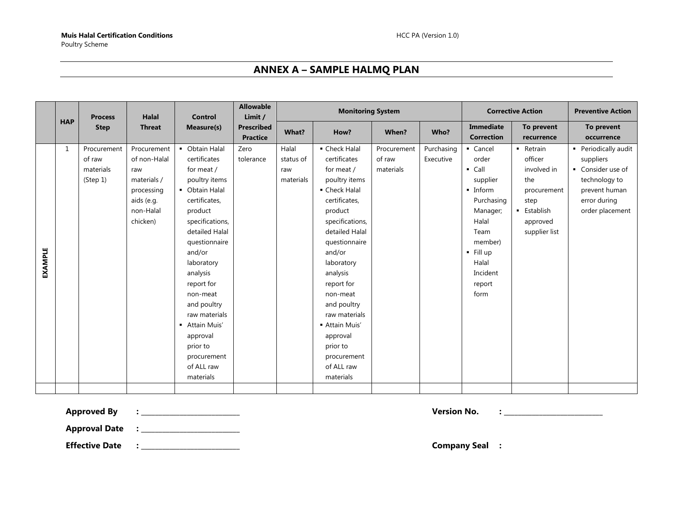## **ANNEX A – SAMPLE HALMQ PLAN**

<span id="page-23-0"></span>

|                |            | <b>Process</b>                                 | <b>Halal</b>                                                                                           | <b>Control</b>                                                                                                                                                                                                                                                                                                                                      | <b>Allowable</b><br>Limit /          |                                        | <b>Monitoring System</b>                                                                                                                                                                                                                                                                                                                          |                                    |                         |                                                                                                                                                                              | <b>Corrective Action</b>                                                                                           | <b>Preventive Action</b>                                                                                                    |
|----------------|------------|------------------------------------------------|--------------------------------------------------------------------------------------------------------|-----------------------------------------------------------------------------------------------------------------------------------------------------------------------------------------------------------------------------------------------------------------------------------------------------------------------------------------------------|--------------------------------------|----------------------------------------|---------------------------------------------------------------------------------------------------------------------------------------------------------------------------------------------------------------------------------------------------------------------------------------------------------------------------------------------------|------------------------------------|-------------------------|------------------------------------------------------------------------------------------------------------------------------------------------------------------------------|--------------------------------------------------------------------------------------------------------------------|-----------------------------------------------------------------------------------------------------------------------------|
|                | <b>HAP</b> | <b>Step</b>                                    | <b>Threat</b>                                                                                          | Measure(s)                                                                                                                                                                                                                                                                                                                                          | <b>Prescribed</b><br><b>Practice</b> | What?                                  | How?                                                                                                                                                                                                                                                                                                                                              | When?                              | Who?                    | Immediate<br><b>Correction</b>                                                                                                                                               | To prevent<br>recurrence                                                                                           | To prevent<br>occurrence                                                                                                    |
| <b>EXAMPLE</b> | 1          | Procurement<br>of raw<br>materials<br>(Step 1) | Procurement<br>of non-Halal<br>raw<br>materials /<br>processing<br>aids (e.g.<br>non-Halal<br>chicken) | • Obtain Halal<br>certificates<br>for meat /<br>poultry items<br>• Obtain Halal<br>certificates,<br>product<br>specifications,<br>detailed Halal<br>questionnaire<br>and/or<br>laboratory<br>analysis<br>report for<br>non-meat<br>and poultry<br>raw materials<br>- Attain Muis'<br>approval<br>prior to<br>procurement<br>of ALL raw<br>materials | Zero<br>tolerance                    | Halal<br>status of<br>raw<br>materials | • Check Halal<br>certificates<br>for meat /<br>poultry items<br>• Check Halal<br>certificates,<br>product<br>specifications,<br>detailed Halal<br>questionnaire<br>and/or<br>laboratory<br>analysis<br>report for<br>non-meat<br>and poultry<br>raw materials<br>- Attain Muis'<br>approval<br>prior to<br>procurement<br>of ALL raw<br>materials | Procurement<br>of raw<br>materials | Purchasing<br>Executive | • Cancel<br>order<br>$\blacksquare$ Call<br>supplier<br>• Inform<br>Purchasing<br>Manager;<br>Halal<br>Team<br>member)<br>$-$ Fill up<br>Halal<br>Incident<br>report<br>form | - Retrain<br>officer<br>involved in<br>the<br>procurement<br>step<br><b>Establish</b><br>approved<br>supplier list | • Periodically audit<br>suppliers<br>• Consider use of<br>technology to<br>prevent human<br>error during<br>order placement |
|                |            |                                                |                                                                                                        |                                                                                                                                                                                                                                                                                                                                                     |                                      |                                        |                                                                                                                                                                                                                                                                                                                                                   |                                    |                         |                                                                                                                                                                              |                                                                                                                    |                                                                                                                             |

**Approved By : \_\_\_\_\_\_\_\_\_\_\_\_\_\_\_\_\_\_\_\_\_\_\_\_\_\_\_\_ Version No. : \_\_\_\_\_\_\_\_\_\_\_\_\_\_\_\_\_\_\_\_\_\_\_\_\_\_\_\_**

**Approval Date : \_\_\_\_\_\_\_\_\_\_\_\_\_\_\_\_\_\_\_\_\_\_\_\_\_\_\_\_**

**Effective Date : \_\_\_\_\_\_\_\_\_\_\_\_\_\_\_\_\_\_\_\_\_\_\_\_\_\_\_\_ Company Seal :**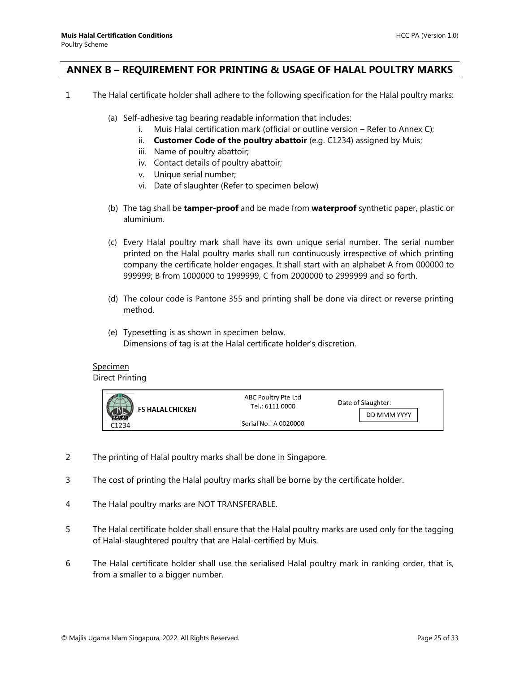## <span id="page-24-0"></span>**ANNEX B – REQUIREMENT FOR PRINTING & USAGE OF HALAL POULTRY MARKS**

- 1 The Halal certificate holder shall adhere to the following specification for the Halal poultry marks:
	- (a) Self-adhesive tag bearing readable information that includes:
		- i. Muis Halal certification mark (official or outline version Refer to Annex C);
		- ii. **Customer Code of the poultry abattoir** (e.g. C1234) assigned by Muis;
		- iii. Name of poultry abattoir;
		- iv. Contact details of poultry abattoir;
		- v. Unique serial number;
		- vi. Date of slaughter (Refer to specimen below)
	- (b) The tag shall be **tamper-proof** and be made from **waterproof** synthetic paper, plastic or aluminium.
	- (c) Every Halal poultry mark shall have its own unique serial number. The serial number printed on the Halal poultry marks shall run continuously irrespective of which printing company the certificate holder engages. It shall start with an alphabet A from 000000 to 999999; B from 1000000 to 1999999, C from 2000000 to 2999999 and so forth.
	- (d) The colour code is Pantone 355 and printing shall be done via direct or reverse printing method.
	- (e) Typesetting is as shown in specimen below. Dimensions of tag is at the Halal certificate holder's discretion.

# **Specimen**

Direct Printing



- 2 The printing of Halal poultry marks shall be done in Singapore.
- 3 The cost of printing the Halal poultry marks shall be borne by the certificate holder.
- 4 The Halal poultry marks are NOT TRANSFERABLE.
- 5 The Halal certificate holder shall ensure that the Halal poultry marks are used only for the tagging of Halal-slaughtered poultry that are Halal-certified by Muis.
- 6 The Halal certificate holder shall use the serialised Halal poultry mark in ranking order, that is, from a smaller to a bigger number.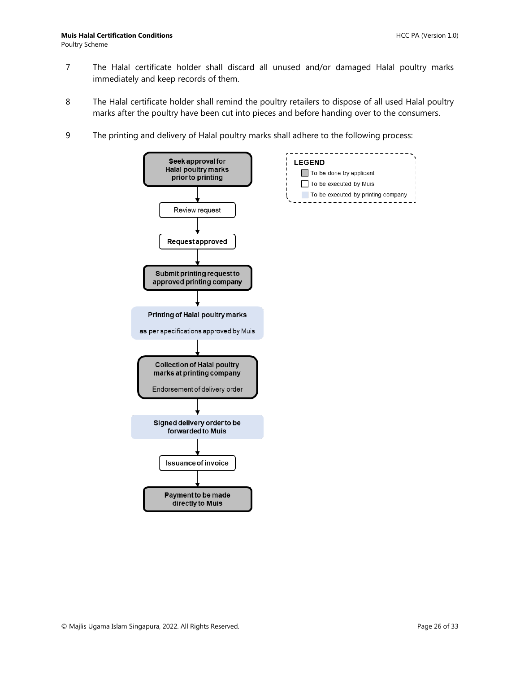- 7 The Halal certificate holder shall discard all unused and/or damaged Halal poultry marks immediately and keep records of them.
- 8 The Halal certificate holder shall remind the poultry retailers to dispose of all used Halal poultry marks after the poultry have been cut into pieces and before handing over to the consumers.
- 9 The printing and delivery of Halal poultry marks shall adhere to the following process:

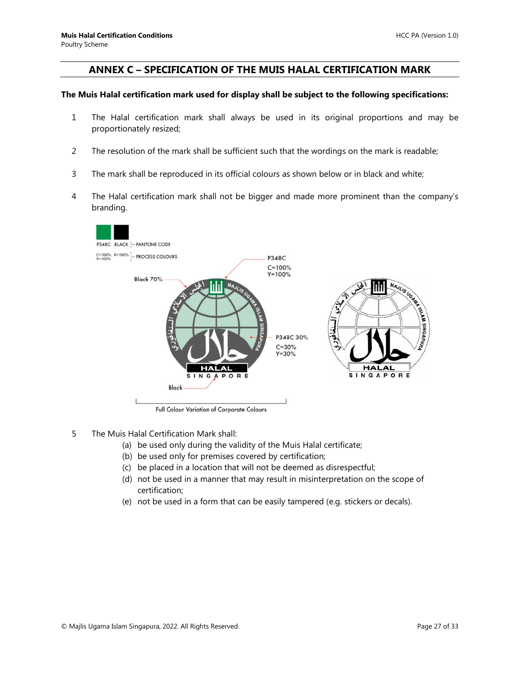## <span id="page-26-0"></span>**ANNEX C – SPECIFICATION OF THE MUIS HALAL CERTIFICATION MARK**

#### **The Muis Halal certification mark used for display shall be subject to the following specifications:**

- 1 The Halal certification mark shall always be used in its original proportions and may be proportionately resized;
- 2 The resolution of the mark shall be sufficient such that the wordings on the mark is readable;
- 3 The mark shall be reproduced in its official colours as shown below or in black and white;
- 4 The Halal certification mark shall not be bigger and made more prominent than the company's branding.



- 5 The Muis Halal Certification Mark shall:
	- (a) be used only during the validity of the Muis Halal certificate;
	- (b) be used only for premises covered by certification;
	- (c) be placed in a location that will not be deemed as disrespectful;
	- (d) not be used in a manner that may result in misinterpretation on the scope of certification;
	- (e) not be used in a form that can be easily tampered (e.g. stickers or decals).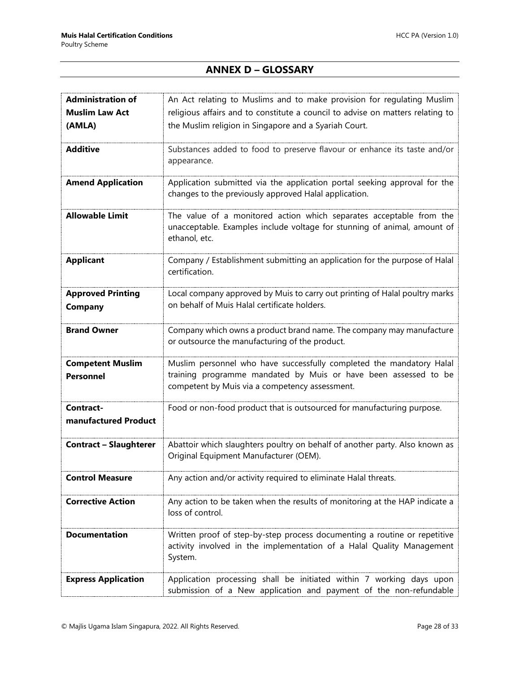# **ANNEX D – GLOSSARY**

<span id="page-27-0"></span>

| <b>Administration of</b>      | An Act relating to Muslims and to make provision for regulating Muslim         |
|-------------------------------|--------------------------------------------------------------------------------|
| <b>Muslim Law Act</b>         | religious affairs and to constitute a council to advise on matters relating to |
| (AMLA)                        | the Muslim religion in Singapore and a Syariah Court.                          |
|                               |                                                                                |
| <b>Additive</b>               | Substances added to food to preserve flavour or enhance its taste and/or       |
|                               | appearance.                                                                    |
|                               |                                                                                |
| <b>Amend Application</b>      | Application submitted via the application portal seeking approval for the      |
|                               | changes to the previously approved Halal application.                          |
|                               |                                                                                |
| <b>Allowable Limit</b>        | The value of a monitored action which separates acceptable from the            |
|                               | unacceptable. Examples include voltage for stunning of animal, amount of       |
|                               | ethanol, etc.                                                                  |
| <b>Applicant</b>              | Company / Establishment submitting an application for the purpose of Halal     |
|                               | certification.                                                                 |
|                               |                                                                                |
| <b>Approved Printing</b>      | Local company approved by Muis to carry out printing of Halal poultry marks    |
| Company                       | on behalf of Muis Halal certificate holders.                                   |
|                               |                                                                                |
| <b>Brand Owner</b>            | Company which owns a product brand name. The company may manufacture           |
|                               | or outsource the manufacturing of the product.                                 |
|                               |                                                                                |
| <b>Competent Muslim</b>       | Muslim personnel who have successfully completed the mandatory Halal           |
| <b>Personnel</b>              | training programme mandated by Muis or have been assessed to be                |
|                               | competent by Muis via a competency assessment.                                 |
| Contract-                     | Food or non-food product that is outsourced for manufacturing purpose.         |
| manufactured Product          |                                                                                |
|                               |                                                                                |
| <b>Contract - Slaughterer</b> | Abattoir which slaughters poultry on behalf of another party. Also known as    |
|                               | Original Equipment Manufacturer (OEM).                                         |
|                               |                                                                                |
| <b>Control Measure</b>        | Any action and/or activity required to eliminate Halal threats.                |
|                               |                                                                                |
| <b>Corrective Action</b>      | Any action to be taken when the results of monitoring at the HAP indicate a    |
|                               | loss of control.                                                               |
|                               |                                                                                |
| <b>Documentation</b>          | Written proof of step-by-step process documenting a routine or repetitive      |
|                               | activity involved in the implementation of a Halal Quality Management          |
|                               | System.                                                                        |
| <b>Express Application</b>    | Application processing shall be initiated within 7 working days upon           |
|                               | submission of a New application and payment of the non-refundable              |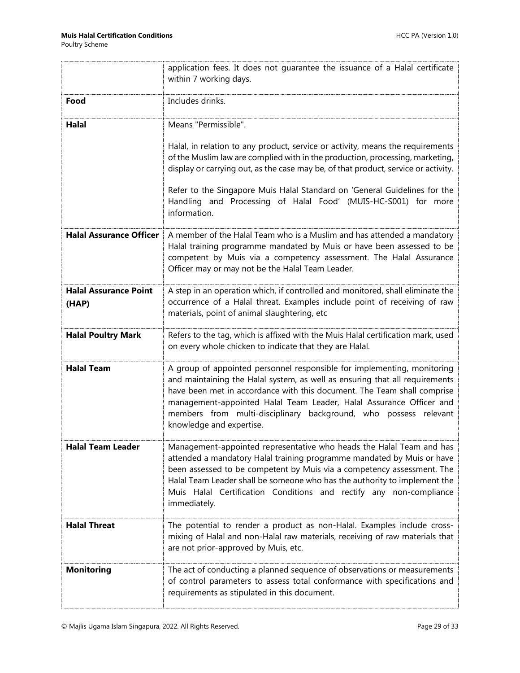|                                       | application fees. It does not quarantee the issuance of a Halal certificate<br>within 7 working days.                                                                                                                                                                                                                                                                                                    |
|---------------------------------------|----------------------------------------------------------------------------------------------------------------------------------------------------------------------------------------------------------------------------------------------------------------------------------------------------------------------------------------------------------------------------------------------------------|
| Food                                  | Includes drinks.                                                                                                                                                                                                                                                                                                                                                                                         |
| Halal                                 | Means "Permissible".                                                                                                                                                                                                                                                                                                                                                                                     |
|                                       | Halal, in relation to any product, service or activity, means the requirements<br>of the Muslim law are complied with in the production, processing, marketing,<br>display or carrying out, as the case may be, of that product, service or activity.                                                                                                                                                    |
|                                       | Refer to the Singapore Muis Halal Standard on 'General Guidelines for the<br>Handling and Processing of Halal Food' (MUIS-HC-S001) for more<br>information.                                                                                                                                                                                                                                              |
| <b>Halal Assurance Officer</b>        | A member of the Halal Team who is a Muslim and has attended a mandatory<br>Halal training programme mandated by Muis or have been assessed to be<br>competent by Muis via a competency assessment. The Halal Assurance<br>Officer may or may not be the Halal Team Leader.                                                                                                                               |
| <b>Halal Assurance Point</b><br>(HAP) | A step in an operation which, if controlled and monitored, shall eliminate the<br>occurrence of a Halal threat. Examples include point of receiving of raw<br>materials, point of animal slaughtering, etc                                                                                                                                                                                               |
| <b>Halal Poultry Mark</b>             | Refers to the tag, which is affixed with the Muis Halal certification mark, used<br>on every whole chicken to indicate that they are Halal.                                                                                                                                                                                                                                                              |
| <b>Halal Team</b>                     | A group of appointed personnel responsible for implementing, monitoring<br>and maintaining the Halal system, as well as ensuring that all requirements<br>have been met in accordance with this document. The Team shall comprise<br>management-appointed Halal Team Leader, Halal Assurance Officer and<br>members from multi-disciplinary background, who possess relevant<br>knowledge and expertise. |
| <b>Halal Team Leader</b>              | Management-appointed representative who heads the Halal Team and has<br>attended a mandatory Halal training programme mandated by Muis or have<br>been assessed to be competent by Muis via a competency assessment. The<br>Halal Team Leader shall be someone who has the authority to implement the<br>Muis Halal Certification Conditions and rectify any non-compliance<br>immediately.              |
| <b>Halal Threat</b>                   | The potential to render a product as non-Halal. Examples include cross-<br>mixing of Halal and non-Halal raw materials, receiving of raw materials that<br>are not prior-approved by Muis, etc.                                                                                                                                                                                                          |
| <b>Monitoring</b>                     | The act of conducting a planned sequence of observations or measurements<br>of control parameters to assess total conformance with specifications and<br>requirements as stipulated in this document.                                                                                                                                                                                                    |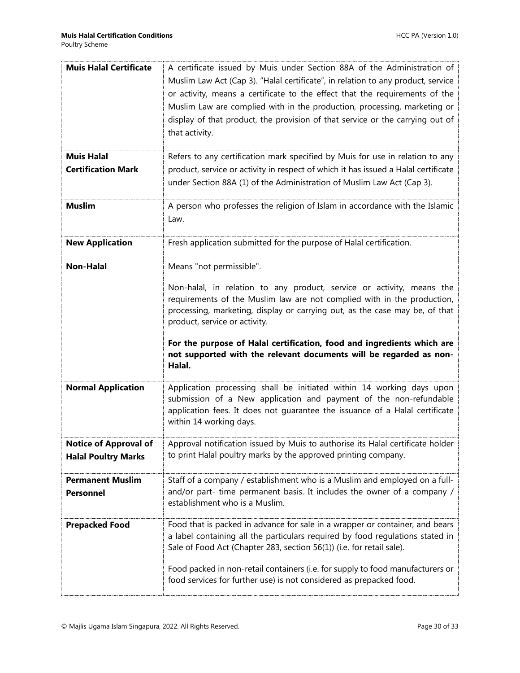| <b>Muis Halal Certificate</b> | A certificate issued by Muis under Section 88A of the Administration of                                                                               |
|-------------------------------|-------------------------------------------------------------------------------------------------------------------------------------------------------|
|                               | Muslim Law Act (Cap 3). "Halal certificate", in relation to any product, service                                                                      |
|                               | or activity, means a certificate to the effect that the requirements of the                                                                           |
|                               | Muslim Law are complied with in the production, processing, marketing or                                                                              |
|                               | display of that product, the provision of that service or the carrying out of                                                                         |
|                               | that activity.                                                                                                                                        |
|                               |                                                                                                                                                       |
| <b>Muis Halal</b>             | Refers to any certification mark specified by Muis for use in relation to any                                                                         |
| <b>Certification Mark</b>     | product, service or activity in respect of which it has issued a Halal certificate                                                                    |
|                               | under Section 88A (1) of the Administration of Muslim Law Act (Cap 3).                                                                                |
|                               |                                                                                                                                                       |
| <b>Muslim</b>                 | A person who professes the religion of Islam in accordance with the Islamic                                                                           |
|                               | Law.                                                                                                                                                  |
|                               |                                                                                                                                                       |
| <b>New Application</b>        | Fresh application submitted for the purpose of Halal certification.                                                                                   |
|                               |                                                                                                                                                       |
| <b>Non-Halal</b>              | Means "not permissible".                                                                                                                              |
|                               | Non-halal, in relation to any product, service or activity, means the                                                                                 |
|                               | requirements of the Muslim law are not complied with in the production,                                                                               |
|                               | processing, marketing, display or carrying out, as the case may be, of that                                                                           |
|                               | product, service or activity.                                                                                                                         |
|                               |                                                                                                                                                       |
|                               |                                                                                                                                                       |
|                               | For the purpose of Halal certification, food and ingredients which are                                                                                |
|                               | not supported with the relevant documents will be regarded as non-                                                                                    |
|                               | Halal.                                                                                                                                                |
|                               |                                                                                                                                                       |
| <b>Normal Application</b>     | Application processing shall be initiated within 14 working days upon<br>submission of a New application and payment of the non-refundable            |
|                               | application fees. It does not guarantee the issuance of a Halal certificate                                                                           |
|                               | within 14 working days.                                                                                                                               |
|                               |                                                                                                                                                       |
| Notice of Approval of         | Approval notification issued by Muis to authorise its Halal certificate holder                                                                        |
| <b>Halal Poultry Marks</b>    | to print Halal poultry marks by the approved printing company.                                                                                        |
| <b>Permanent Muslim</b>       |                                                                                                                                                       |
| <b>Personnel</b>              | Staff of a company / establishment who is a Muslim and employed on a full-<br>and/or part- time permanent basis. It includes the owner of a company / |
|                               | establishment who is a Muslim.                                                                                                                        |
|                               |                                                                                                                                                       |
| <b>Prepacked Food</b>         | Food that is packed in advance for sale in a wrapper or container, and bears                                                                          |
|                               | a label containing all the particulars required by food regulations stated in                                                                         |
|                               | Sale of Food Act (Chapter 283, section 56(1)) (i.e. for retail sale).                                                                                 |
|                               |                                                                                                                                                       |
|                               | Food packed in non-retail containers (i.e. for supply to food manufacturers or<br>food services for further use) is not considered as prepacked food. |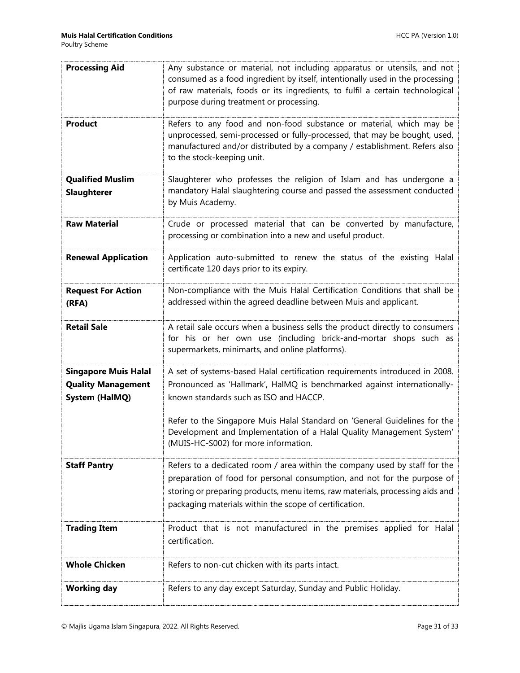| <b>Processing Aid</b>                         | Any substance or material, not including apparatus or utensils, and not<br>consumed as a food ingredient by itself, intentionally used in the processing<br>of raw materials, foods or its ingredients, to fulfil a certain technological<br>purpose during treatment or processing. |
|-----------------------------------------------|--------------------------------------------------------------------------------------------------------------------------------------------------------------------------------------------------------------------------------------------------------------------------------------|
| <b>Product</b>                                | Refers to any food and non-food substance or material, which may be<br>unprocessed, semi-processed or fully-processed, that may be bought, used,<br>manufactured and/or distributed by a company / establishment. Refers also<br>to the stock-keeping unit.                          |
| <b>Qualified Muslim</b><br><b>Slaughterer</b> | Slaughterer who professes the religion of Islam and has undergone a<br>mandatory Halal slaughtering course and passed the assessment conducted<br>by Muis Academy.                                                                                                                   |
| <b>Raw Material</b>                           | Crude or processed material that can be converted by manufacture,<br>processing or combination into a new and useful product.                                                                                                                                                        |
| <b>Renewal Application</b>                    | Application auto-submitted to renew the status of the existing Halal<br>certificate 120 days prior to its expiry.                                                                                                                                                                    |
| <b>Request For Action</b><br>(RFA)            | Non-compliance with the Muis Halal Certification Conditions that shall be<br>addressed within the agreed deadline between Muis and applicant.                                                                                                                                        |
| <b>Retail Sale</b>                            | A retail sale occurs when a business sells the product directly to consumers<br>for his or her own use (including brick-and-mortar shops such as<br>supermarkets, minimarts, and online platforms).                                                                                  |
| <b>Singapore Muis Halal</b>                   | A set of systems-based Halal certification requirements introduced in 2008.                                                                                                                                                                                                          |
| <b>Quality Management</b>                     | Pronounced as 'Hallmark', HalMQ is benchmarked against internationally-                                                                                                                                                                                                              |
| <b>System (HalMQ)</b>                         | known standards such as ISO and HACCP.                                                                                                                                                                                                                                               |
|                                               | Refer to the Singapore Muis Halal Standard on 'General Guidelines for the<br>Development and Implementation of a Halal Quality Management System'<br>(MUIS-HC-S002) for more information.                                                                                            |
| <b>Staff Pantry</b>                           | Refers to a dedicated room / area within the company used by staff for the                                                                                                                                                                                                           |
|                                               | preparation of food for personal consumption, and not for the purpose of<br>storing or preparing products, menu items, raw materials, processing aids and<br>packaging materials within the scope of certification.                                                                  |
| <b>Trading Item</b>                           | Product that is not manufactured in the premises applied for Halal<br>certification.                                                                                                                                                                                                 |
| <b>Whole Chicken</b>                          | Refers to non-cut chicken with its parts intact.                                                                                                                                                                                                                                     |
| <b>Working day</b>                            | Refers to any day except Saturday, Sunday and Public Holiday.                                                                                                                                                                                                                        |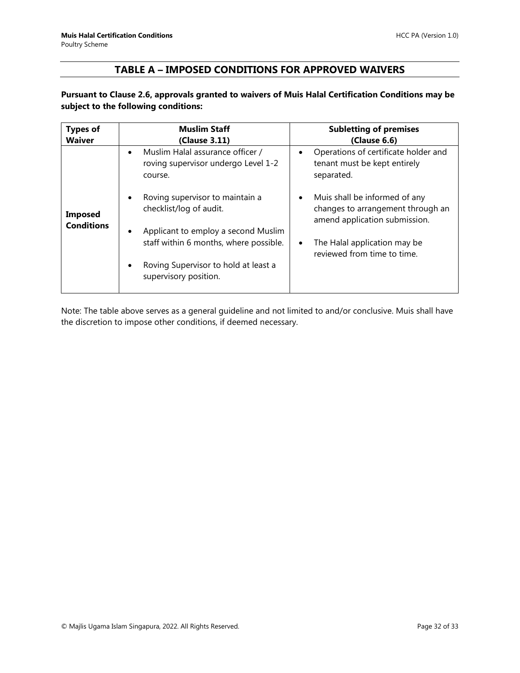# **TABLE A – IMPOSED CONDITIONS FOR APPROVED WAIVERS**

### <span id="page-31-0"></span>**Pursuant to Clause 2.6, approvals granted to waivers of Muis Halal Certification Conditions may be subject to the following conditions:**

| <b>Types of</b>                     | <b>Muslim Staff</b>                                                                             | <b>Subletting of premises</b>                                                                       |
|-------------------------------------|-------------------------------------------------------------------------------------------------|-----------------------------------------------------------------------------------------------------|
| <b>Waiver</b>                       | (Clause 3.11)                                                                                   | (Clause 6.6)                                                                                        |
| <b>Imposed</b><br><b>Conditions</b> | Muslim Halal assurance officer /<br>$\bullet$<br>roving supervisor undergo Level 1-2<br>course. | Operations of certificate holder and<br>tenant must be kept entirely<br>separated.                  |
|                                     | Roving supervisor to maintain a<br>checklist/log of audit.                                      | Muis shall be informed of any<br>changes to arrangement through an<br>amend application submission. |
|                                     | Applicant to employ a second Muslim                                                             |                                                                                                     |
|                                     | staff within 6 months, where possible.                                                          | The Halal application may be<br>reviewed from time to time.                                         |
|                                     | Roving Supervisor to hold at least a<br>supervisory position.                                   |                                                                                                     |

Note: The table above serves as a general guideline and not limited to and/or conclusive. Muis shall have the discretion to impose other conditions, if deemed necessary.